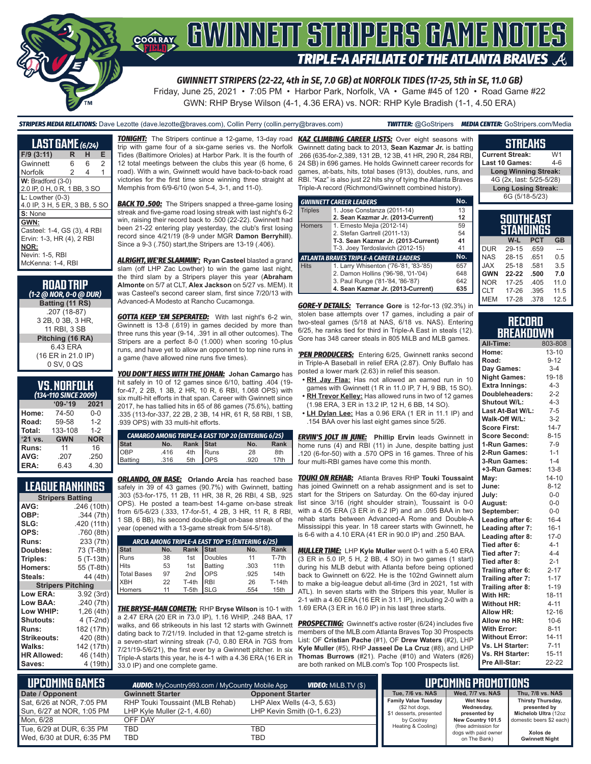

*GWINNETT STRIPERS (22-22, 4th in SE, 7.0 GB) at NORFOLK TIDES (17-25, 5th in SE, 11.0 GB)*

Friday, June 25, 2021 • 7:05 PM • Harbor Park, Norfolk, VA • Game #45 of 120 • Road Game #22 GWN: RHP Bryse Wilson (4-1, 4.36 ERA) vs. NOR: RHP Kyle Bradish (1-1, 4.50 ERA)

*STRIPERS MEDIA RELATIONS:* Dave Lezotte (dave.lezotte@braves.com), Collin Perry (collin.perry@braves.com) *TWITTER:* @GoStripers *MEDIA CENTER:* GoStripers.com/Media

| <b>LAST GAME</b> (6/24)                                                                                          |   |   |                |
|------------------------------------------------------------------------------------------------------------------|---|---|----------------|
| $F/9$ (3:11)                                                                                                     | R | н | Е              |
| Gwinnett                                                                                                         | 6 | 6 | $\overline{2}$ |
| Norfolk                                                                                                          | 2 | 4 | 1              |
| $W:$ Bradford $(3-0)$<br>2.0 IP, 0 H, 0 R, 1 BB, 3 SO                                                            |   |   |                |
| $L:$ Lowther $(0-3)$<br>4.0 IP, 3 H, 5 ER, 3 BB, 5 SO                                                            |   |   |                |
| S: None                                                                                                          |   |   |                |
| GWN:<br>Casteel: 1-4, GS (3), 4 RBI<br>Ervin: 1-3, HR (4), 2 RBI<br>NOR:<br>Nevin: 1-5, RBI<br>McKenna: 1-4, RBI |   |   |                |

| <b>ROAD TRIP</b><br>(1-2 @ NOR, 0-0 @ DUR)        |
|---------------------------------------------------|
| Batting (11 RS)                                   |
| .207 (18-87)<br>3 2B, 0 3B, 3 HR.<br>11 RBI. 3 SB |
| Pitching (16 RA)                                  |
| 643 FRA<br>(16 ER in 21.0 IP)<br>0 SV, 0 QS       |

#### **VS. NORFOLK**  *(134-110 SINCE 2009)*

| I IV JIIVLL LUV |            |            |  |  |  |  |  |  |  |  |
|-----------------|------------|------------|--|--|--|--|--|--|--|--|
|                 | $09 - 19$  | 2021       |  |  |  |  |  |  |  |  |
| Home:           | 74-50      | $0 - 0$    |  |  |  |  |  |  |  |  |
| Road:           | 59-58      | $1 - 2$    |  |  |  |  |  |  |  |  |
| Total:          | 133-108    | $1 - 2$    |  |  |  |  |  |  |  |  |
| '21 vs.         | <b>GWN</b> | <b>NOR</b> |  |  |  |  |  |  |  |  |
| Runs:           | 11         | 16         |  |  |  |  |  |  |  |  |
| AVG:            | .207       | .250       |  |  |  |  |  |  |  |  |
| ERA:            | 6.43       | 4.30       |  |  |  |  |  |  |  |  |

#### **LEAGUE RANKINGS**

|                          | <b>Stripers Batting</b> |  |  |  |  |  |  |  |  |  |
|--------------------------|-------------------------|--|--|--|--|--|--|--|--|--|
| AVG:                     | .246 (10th)             |  |  |  |  |  |  |  |  |  |
| OBP:                     | .344 (7th)              |  |  |  |  |  |  |  |  |  |
| SLG:                     | .420 (11th)             |  |  |  |  |  |  |  |  |  |
| OPS:                     | .760 (8th)              |  |  |  |  |  |  |  |  |  |
| Runs:                    | 233 (7th)               |  |  |  |  |  |  |  |  |  |
| Doubles:                 | 73 (T-8th)              |  |  |  |  |  |  |  |  |  |
| Triples:                 | $5(T-13th)$             |  |  |  |  |  |  |  |  |  |
| Homers:                  | 55 (T-8th)              |  |  |  |  |  |  |  |  |  |
| Steals:                  | 44 (4th)                |  |  |  |  |  |  |  |  |  |
| <b>Stripers Pitching</b> |                         |  |  |  |  |  |  |  |  |  |
| Low ERA:                 | 3.92(3rd)               |  |  |  |  |  |  |  |  |  |
| Low BAA:                 | .240(7th)               |  |  |  |  |  |  |  |  |  |
| Low WHIP:                | 1,26 (4th)              |  |  |  |  |  |  |  |  |  |
| <b>Shutouts:</b>         | 4 (T-2nd)               |  |  |  |  |  |  |  |  |  |
| Runs:                    | 182 (17th)              |  |  |  |  |  |  |  |  |  |
| <b>Strikeouts:</b>       | 420 (8th)               |  |  |  |  |  |  |  |  |  |
| <b>Walks:</b>            | 142 (17th)              |  |  |  |  |  |  |  |  |  |
| <b>HR Allowed:</b>       | 46 (14th)               |  |  |  |  |  |  |  |  |  |
| Saves:                   | 4 (19th)                |  |  |  |  |  |  |  |  |  |

*TONIGHT:* The Stripers continue a 12-game, 13-day road *KAZ CLIMBING CAREER LISTS:* Over eight seasons with trip with game four of a six-game series vs. the Norfolk Tides (Baltimore Orioles) at Harbor Park. It is the fourth of 12 total meetings between the clubs this year (6 home, 6 road). With a win, Gwinnett would have back-to-back road victories for the first time since winning three straight at RBI. "Kaz" is also just 22 hits shy of tying the Atlanta Braves Memphis from 6/9-6/10 (won 5-4, 3-1, and 11-0).

**BACK TO .500:** The Stripers snapped a three-game losing streak and five-game road losing streak with last night's 6-2 win, raising their record back to .500 (22-22). Gwinnett had been 21-22 entering play yesterday, the club's first losing record since 4/21/19 (8-9 under MGR **Damon Berryhill**). Since a 9-3 (.750) start,the Stripers are 13-19 (.406).

*ALRIGHT, WE'RE SLAMMIN':* **Ryan Casteel** blasted a grand slam (off LHP Zac Lowther) to win the game last night, the third slam by a Stripers player this year (**Abraham Almonte** on 5/7 at CLT, **Alex Jackson** on 5/27 vs. MEM). It was Casteel's second career slam, first since 7/20/13 with Advanced-A Modesto at Rancho Cucamonga.

**GOTTA KEEP 'EM SEPERATED:** With last night's 6-2 win, Gwinnett is 13-8 (.619) in games decided by more than three runs this year (9-14, .391 in all other outcomes). The Stripers are a perfect 8-0 (1.000) when scoring 10-plus runs, and have yet to allow an opponent to top nine runs in a game (have allowed nine runs five times).

*YOU DON'T MESS WITH THE JOHAN:* **Johan Camargo** has hit safely in 10 of 12 games since 6/10, batting .404 (19 for-47, 2 2B, 1 3B, 2 HR, 10 R, 6 RBI, 1.068 OPS) with six multi-hit efforts in that span. Career with Gwinnett since 2017, he has tallied hits in 65 of 86 games (75.6%), batting .335 (113-for-337, 22 2B, 2 3B, 14 HR, 61 R, 58 RBI, 1 SB, .939 OPS) with 33 multi-hit efforts.

| <b>CAMARGO AMONG TRIPLE-A EAST TOP 20 (ENTERING 6/25)</b> |      |     |            |      |      |  |  |  |  |
|-----------------------------------------------------------|------|-----|------------|------|------|--|--|--|--|
| Rank Stat<br>Rank<br><b>Stat</b><br>No.<br>No.            |      |     |            |      |      |  |  |  |  |
| <b>OBP</b>                                                | .416 | 4th | Runs       | 28   | 8th  |  |  |  |  |
| Batting                                                   | .316 | 5th | <b>OPS</b> | .920 | 17th |  |  |  |  |

*ORLANDO, ON BASE:* **Orlando Arcia** has reached base safely in 39 of 43 games (90.7%) with Gwinnett, batting .303 (53-for-175, 11 2B, 11 HR, 38 R, 26 RBI, 4 SB, .925 OPS). He posted a team-best 14-game on-base streak from 6/5-6/23 (.333, 17-for-51, 4 2B, 3 HR, 11 R, 8 RBI, 1 SB, 6 BB), his second double-digit on-base streak of the year (opened with a 13-game streak from 5/4-5/18).

| ARCIA AMONG TRIPLE-A EAST TOP 15 (ENTERING 6/25) |     |                 |                                   |      |               |  |  |  |  |  |
|--------------------------------------------------|-----|-----------------|-----------------------------------|------|---------------|--|--|--|--|--|
| <b>Stat</b>                                      | No. | <b>Rank</b>     | <b>Stat</b><br><b>Rank</b><br>No. |      |               |  |  |  |  |  |
| <b>Runs</b>                                      | 38  | 1st             | <b>Doubles</b>                    | 11   | T-7th         |  |  |  |  |  |
| <b>Hits</b>                                      | 53  | 1st             | <b>Batting</b>                    | .303 | 11th          |  |  |  |  |  |
| Total Bases                                      | 97  | 2 <sub>nd</sub> | <b>OPS</b>                        | .925 | 14th          |  |  |  |  |  |
| <b>IXBH</b>                                      | 22  | T-4th           | <b>RBI</b>                        | 26   | <b>T-14th</b> |  |  |  |  |  |
| Homers                                           | 11  | T-5th           | <b>SLG</b>                        | .554 | 15th          |  |  |  |  |  |

*THE BRYSE-MAN COMETH:* RHP **Bryse Wilson** is 10-1 with a 2.47 ERA (20 ER in 73.0 IP), 1.16 WHIP, .248 BAA, 17 walks, and 66 strikeouts in his last 12 starts with Gwinnett dating back to 7/21/19. Included in that 12-game stretch is a seven-start winning streak (7-0, 0.80 ERA in 7GS from 7/21/19-5/6/21), the first ever by a Gwinnett pitcher. In six Triple-A starts this year, he is 4-1 with a 4.36 ERA (16 ER in 33.0 IP) and one complete game.

Gwinnett dating back to 2013, **Sean Kazmar Jr.** is batting .266 (635-for-2,389, 131 2B, 12 3B, 41 HR, 290 R, 284 RBI, 24 SB) in 696 games. He holds Gwinnett career records for games, at-bats, hits, total bases (913), doubles, runs, and Triple-A record (Richmond/Gwinnett combined history).

|                | <b>GWINNETT CAREER LEADERS</b>                | No. |  |  |  |  |  |  |
|----------------|-----------------------------------------------|-----|--|--|--|--|--|--|
| <b>Triples</b> | 1. Jose Constanza (2011-14)                   | 13  |  |  |  |  |  |  |
|                | 2. Sean Kazmar Jr. (2013-Current)             | 12  |  |  |  |  |  |  |
| <b>Homers</b>  | 1. Ernesto Mejia (2012-14)                    | 59  |  |  |  |  |  |  |
|                | 2. Stefan Gartrell (2011-13)                  | 54  |  |  |  |  |  |  |
|                | T-3. Sean Kazmar Jr. (2013-Current)           | 41  |  |  |  |  |  |  |
|                | T-3. Joey Terdoslavich (2012-15)              |     |  |  |  |  |  |  |
|                | <b>ATLANTA BRAVES TRIPLE-A CAREER LEADERS</b> | No. |  |  |  |  |  |  |
| <b>Hits</b>    | 1. Larry Whisenton ('76-'81, '83-'85)         | 657 |  |  |  |  |  |  |
|                | 2. Damon Hollins ('96-'98, '01-'04)           | 648 |  |  |  |  |  |  |
|                | 3. Paul Runge ('81-'84, '86-'87)              | 642 |  |  |  |  |  |  |
|                | 4. Sean Kazmar Jr. (2013-Current)             | 635 |  |  |  |  |  |  |

*GORE-Y DETAILS:* **Terrance Gore** is 12-for-13 (92.3%) in stolen base attempts over 17 games, including a pair of two-steal games (5/18 at NAS, 6/18 vs. NAS). Entering 6/25, he ranks tied for third in Triple-A East in steals (12). Gore has 348 career steals in 805 MiLB and MLB games.

*'PEN PRODUCERS:* Entering 6/25, Gwinnett ranks second in Triple-A Baseball in relief ERA (2.87). Only Buffalo has posted a lower mark (2.63) in relief this season.

- **• RH Jay Flaa:** Has not allowed an earned run in 10 games with Gwinnett (1 R in 11.0 IP, 7 H, 9 BB, 15 SO). **• RH Trevor Kelley:** Has allowed runs in two of 12 games
- (1.98 ERA, 3 ER in 13.2 IP, 12 H, 6 BB, 14 SO). **• LH Dylan Lee:** Has a 0.96 ERA (1 ER in 11.1 IP) and
- .154 BAA over his last eight games since 5/26.

**ERVIN'S JOLT IN JUNE:** Phillip Ervin leads Gwinnett in home runs (4) and RBI (11) in June, despite batting just .120 (6-for-50) with a .570 OPS in 16 games. Three of his four multi-RBI games have come this month.

*TOUKI ON REHAB:* Atlanta Braves RHP **Touki Toussaint** has joined Gwinnett on a rehab assignment and is set to start for the Stripers on Saturday. On the 60-day injured list since 3/16 (right shoulder strain), Toussaint is 0-0 with a 4.05 ERA (3 ER in 6.2 IP) and an .095 BAA in two rehab starts between Advanced-A Rome and Double-A Mississippi this year. In 18 career starts with Gwinnett, he is 6-6 with a 4.10 ERA (41 ER in 90.0 IP) and .250 BAA.

*MULLER TIME:* LHP **Kyle Muller** went 0-1 with a 5.40 ERA (3 ER in 5.0 IP, 5 H, 2 BB, 4 SO) in two games (1 start) during his MLB debut with Atlanta before being optioned back to Gwinnett on 6/22. He is the 102nd Gwinnett alum to make a big-league debut all-time (3rd in 2021, 1st with ATL). In seven starts with the Stripers this year, Muller is 2-1 with a 4.60 ERA (16 ER in 31.1 IP), including 2-0 with a 1.69 ERA (3 ER in 16.0 IP) in his last three starts.

**PROSPECTING:** Gwinnett's active roster (6/24) includes five members of the MLB.com Atlanta Braves Top 30 Prospects List: OF **Cristian Pache** (#1), OF **Drew Waters** (#2), LHP **Kyle Muller** (#5), RHP **Jasseel De La Cruz** (#8), and LHP **Thomas Burrows** (#21). Pache (#10) and Waters (#26) are both ranked on MLB.com's Top 100 Prospects list.

| <b>Long Winning Streak:</b>   |                |            |           |  |  |  |  |  |  |
|-------------------------------|----------------|------------|-----------|--|--|--|--|--|--|
| 4G (2x, last: 5/25-5/28)      |                |            |           |  |  |  |  |  |  |
| <b>Long Losing Streak:</b>    |                |            |           |  |  |  |  |  |  |
|                               | 6G (5/18-5/23) |            |           |  |  |  |  |  |  |
|                               |                |            |           |  |  |  |  |  |  |
|                               |                |            |           |  |  |  |  |  |  |
| SOUTHEAST<br><b>STANDINGS</b> |                |            |           |  |  |  |  |  |  |
|                               |                |            |           |  |  |  |  |  |  |
|                               |                |            |           |  |  |  |  |  |  |
|                               | W-L            | <b>PCT</b> | <b>GB</b> |  |  |  |  |  |  |
| UR                            | 29-15          | .659       |           |  |  |  |  |  |  |

**STREAKS Current Streak:** W1 Last 10 Games:

|            | VV-L      | ۲ω   | GB   |
|------------|-----------|------|------|
| <b>DUR</b> | 29-15     | .659 |      |
| <b>NAS</b> | $28 - 15$ | .651 | 0.5  |
| <b>JAX</b> | $25 - 18$ | .581 | 3.5  |
| <b>GWN</b> | 22-22     | .500 | 7.0  |
| <b>NOR</b> | $17 - 25$ | .405 | 11.0 |
| <b>CLT</b> | 17-26     | .395 | 11.5 |
| <b>MEM</b> | 17-28     | .378 | 12.5 |

#### **RECORD BREAKDOWN**

| All-Time:             | 803-808   |
|-----------------------|-----------|
| Home:                 | $13 - 10$ |
| Road:                 | $9 - 12$  |
| Day Games:            | $3-4$     |
| <b>Night Games:</b>   | 19-18     |
| <b>Extra Innings:</b> | $4 - 3$   |
| Doubleheaders:        | $2 - 2$   |
| Shutout W/L:          | $4 - 3$   |
| Last At-Bat W/L:      | $7 - 5$   |
| Walk-Off W/L:         | $3 - 2$   |
| <b>Score First:</b>   | $14 - 7$  |
| <b>Score Second:</b>  | $8 - 15$  |
| 1-Run Games:          | $7-9$     |
| 2-Run Games:          | $1 - 1$   |
| 3-Run Games:          | $1 - 4$   |
| +3-Run Games:         | $13 - 8$  |
| May:                  | $14 - 10$ |
| June:                 | $8 - 12$  |
| July:                 | $0-0$     |
| August:               | $0-0$     |
| September:            | $0-0$     |
| Leading after 6:      | $16 - 4$  |
| Leading after 7:      | $16-1$    |
| Leading after 8:      | $17-0$    |
| Tied after 6:         | $4 - 1$   |
| Tied after 7:         | $4 - 4$   |
| Tied after 8:         | $2 - 1$   |
| Trailing after 6:     | $2 - 17$  |
| Trailing after 7:     | $1 - 17$  |
| Trailing after 8:     | $1 - 19$  |
| With HR:              | 18-11     |
| <b>Without HR:</b>    | $4 - 11$  |
| Allow HR:             | $12 - 16$ |
| Allow no HR:          | $10 - 6$  |
| <b>With Error:</b>    | $8 - 11$  |
| <b>Without Error:</b> | $14 - 11$ |
| Vs. LH Starter:       | $7 - 11$  |
| Vs. RH Starter:       | $15 - 11$ |
| Pre All-Star:         | 22-22     |

| L UPCOMIÑG GAMES I                                     |                                                                | <b>LIPCOMING PROMOTIONS</b>                               |                                                                          |                                               |
|--------------------------------------------------------|----------------------------------------------------------------|-----------------------------------------------------------|--------------------------------------------------------------------------|-----------------------------------------------|
| Date / Opponent                                        | <b>Gwinnett Starter</b>                                        | <b>Opponent Starter</b>                                   | Tue, 7/6 vs. NAS                                                         | Wed, 7/7 vs. NAS                              |
| Sat, 6/26 at NOR, 7:05 PM<br>Sun, 6/27 at NOR, 1:05 PM | RHP Touki Toussaint (MLB Rehab)<br>LHP Kyle Muller (2-1, 4.60) | LHP Alex Wells (4-3, 5.63)<br>LHP Kevin Smith (0-1, 6.23) | <b>Family Value Tuesday</b><br>(\$2 hot dogs,<br>\$1 desserts, presented | <b>Wet Nose</b><br>Wednesday,<br>presented by |
| <b>M</b> on. 6/28                                      | OFF DAY                                                        |                                                           | by Coolray                                                               | New Country 101.5                             |
| Tue, 6/29 at DUR, 6:35 PM                              | TBD                                                            | TBD                                                       | Heating & Cooling)                                                       | (free admission for<br>dogs with paid owner   |
| Wed, 6/30 at DUR, 6:35 PM                              | TBD                                                            | TBD                                                       |                                                                          | on The Bank)                                  |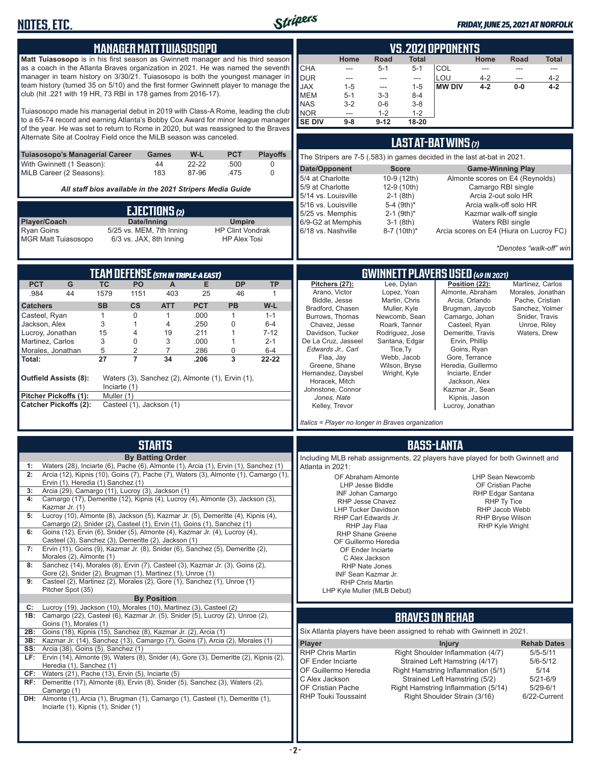

#### *FRIDAY, JUNE 25, 2021 AT NORFOLK*

| <b>MANAGER MATTTUIASOSOPO</b>                                                                                                                                                                                                                               |                                                                    |                                                     |                    |                                                |                     | <b>VS. 2021 OPPONENTS</b>                                                                             |                                                                               |                              |                                                |                                                                      |                                                |                                                                    |                          |
|-------------------------------------------------------------------------------------------------------------------------------------------------------------------------------------------------------------------------------------------------------------|--------------------------------------------------------------------|-----------------------------------------------------|--------------------|------------------------------------------------|---------------------|-------------------------------------------------------------------------------------------------------|-------------------------------------------------------------------------------|------------------------------|------------------------------------------------|----------------------------------------------------------------------|------------------------------------------------|--------------------------------------------------------------------|--------------------------|
| Matt Tuiasosopo is in his first season as Gwinnett manager and his third season<br>as a coach in the Atlanta Braves organization in 2021. He was named the seventh                                                                                          |                                                                    |                                                     |                    |                                                |                     | <b>CHA</b>                                                                                            | Home<br>---                                                                   | Road<br>$5 - 1$              | <b>Total</b><br>$5 - 1$                        | COL                                                                  | Home<br>$\frac{1}{2}$                          | Road<br>$\overline{a}$                                             | <b>Total</b><br>---      |
| manager in team history on 3/30/21. Tuiasosopo is both the youngest manager in<br>team history (turned 35 on 5/10) and the first former Gwinnett player to manage the<br>club (hit .221 with 19 HR, 73 RBI in 178 games from 2016-17).                      |                                                                    |                                                     |                    |                                                |                     | <b>DUR</b><br><b>JAX</b><br><b>MEM</b>                                                                | ---<br>$1 - 5$<br>$5-1$                                                       | ---<br>---<br>$3 - 3$        | $\overline{\phantom{a}}$<br>$1 - 5$<br>$8 - 4$ | LOU<br><b>MW DIV</b>                                                 | 4-2<br>$4 - 2$                                 | ---<br>$0-0$                                                       | $4 - 2$<br>$4 - 2$       |
| Tuiasosopo made his managerial debut in 2019 with Class-A Rome, leading the club<br>to a 65-74 record and earning Atlanta's Bobby Cox Award for minor league manager<br>of the year. He was set to return to Rome in 2020, but was reassigned to the Braves |                                                                    |                                                     |                    |                                                |                     | <b>NAS</b><br><b>NOR</b><br><b>SE DIV</b>                                                             | $3-2$<br>---<br>$9 - 8$                                                       | $0-6$<br>$1 - 2$<br>$9 - 12$ | $3-8$<br>$1 - 2$<br>18-20                      |                                                                      |                                                |                                                                    |                          |
|                                                                                                                                                                                                                                                             | Alternate Site at Coolray Field once the MiLB season was canceled. |                                                     |                    |                                                |                     |                                                                                                       |                                                                               |                              |                                                | LAST AT-BAT WINS (7)                                                 |                                                |                                                                    |                          |
| Tuiasosopo's Managerial Career<br>W-L<br><b>PCT</b><br><b>Playoffs</b><br><b>Games</b><br>With Gwinnett (1 Season):<br>44<br>22-22<br>.500<br>0                                                                                                             |                                                                    |                                                     |                    |                                                |                     |                                                                                                       | The Stripers are 7-5 (.583) in games decided in the last at-bat in 2021.      |                              |                                                |                                                                      |                                                |                                                                    |                          |
| MiLB Career (2 Seasons):                                                                                                                                                                                                                                    |                                                                    | 183                                                 | 87-96              | .475                                           | $\Omega$            | Date/Opponent<br>5/4 at Charlotte<br>5/9 at Charlotte                                                 |                                                                               |                              | <b>Score</b><br>10-9 (12th)<br>12-9 (10th)     |                                                                      | <b>Game-Winning Play</b><br>Camargo RBI single | Almonte scores on E4 (Reynolds)                                    |                          |
| All staff bios available in the 2021 Stripers Media Guide                                                                                                                                                                                                   |                                                                    |                                                     |                    |                                                |                     | 5/14 vs. Louisville<br>5/16 vs. Louisville                                                            |                                                                               |                              | $2-1$ (8th)<br>5-4 (9th)*                      |                                                                      | Arcia 2-out solo HR                            | Arcia walk-off solo HR                                             |                          |
| EJECTIONS (2)<br>Player/Coach<br>Date/Inning<br><b>Umpire</b>                                                                                                                                                                                               |                                                                    |                                                     |                    | 5/25 vs. Memphis                               | 6/9-G2 at Memphis   |                                                                                                       | $2-1$ (9th) <sup>*</sup><br>$3-1$ (8th)                                       |                              | Waters RBI single                              | Kazmar walk-off single                                               |                                                |                                                                    |                          |
| <b>Ryan Goins</b><br><b>MGR Matt Tuiasosopo</b>                                                                                                                                                                                                             |                                                                    | 5/25 vs. MEM, 7th Inning<br>6/3 vs. JAX, 8th Inning |                    | <b>HP Clint Vondrak</b><br><b>HP Alex Tosi</b> |                     | 6/18 vs. Nashville                                                                                    |                                                                               |                              | 8-7 (10th)*                                    |                                                                      |                                                | Arcia scores on E4 (Hiura on Lucroy FC)<br>*Denotes "walk-off" win |                          |
|                                                                                                                                                                                                                                                             |                                                                    |                                                     |                    |                                                |                     |                                                                                                       |                                                                               |                              |                                                |                                                                      |                                                |                                                                    |                          |
| G<br><b>PCT</b>                                                                                                                                                                                                                                             | <b>TEAM DEFENSE (5TH IN TRIPLE-A EAST)</b><br><b>TC</b><br>PO      | A                                                   | Е                  | DP                                             | <b>TP</b>           |                                                                                                       | Pitchers (27):                                                                |                              | Lee, Dylan                                     | <b>GWINNETT PLAYERS USED (49 IN 2021)</b>                            | Position (22):                                 | Martinez, Carlos                                                   |                          |
| .984<br>44                                                                                                                                                                                                                                                  | 1579<br>1151                                                       | 403                                                 | 25                 | 46                                             | $\mathbf{1}$        |                                                                                                       | Arano, Victor<br>Biddle, Jesse                                                |                              | Lopez, Yoan<br>Martin, Chris                   |                                                                      | Almonte, Abraham<br>Arcia, Orlando             | Morales, Jonathan<br>Pache, Cristian                               |                          |
| <b>Catchers</b><br>Casteel, Ryan                                                                                                                                                                                                                            | <b>SB</b><br>$\mathsf{cs}$<br>$\mathbf{1}$<br>0                    | <b>ATT</b><br>$\mathbf{1}$                          | <b>PCT</b><br>.000 | <b>PB</b><br>1                                 | W-L<br>$1 - 1$      |                                                                                                       | Bradford, Chasen                                                              |                              | Muller, Kyle                                   |                                                                      | Brugman, Jaycob                                | Sanchez, Yolmer                                                    |                          |
| Jackson, Alex                                                                                                                                                                                                                                               | 3<br>$\mathbf{1}$                                                  | 4                                                   | .250               | 0                                              | $6-4$               |                                                                                                       | Burrows, Thomas<br>Chavez, Jesse                                              |                              | Newcomb, Sean<br>Roark, Tanner                 | Camargo, Johan                                                       | Casteel, Ryan                                  | Snider, Travis<br>Unroe, Riley                                     |                          |
| Lucroy, Jonathan<br>Martinez, Carlos                                                                                                                                                                                                                        | 15<br>4<br>3<br>0                                                  | 19<br>3                                             | .211<br>.000       | 1<br>1                                         | $7 - 12$<br>$2 - 1$ |                                                                                                       | Davidson, Tucker<br>De La Cruz, Jasseel                                       |                              | Rodriguez, Jose<br>Santana, Edgar              |                                                                      | Demeritte, Travis<br>Ervin, Phillip            | Waters, Drew                                                       |                          |
| Morales, Jonathan                                                                                                                                                                                                                                           | 5<br>$\overline{2}$                                                | $\overline{7}$                                      | .286               | 0                                              | $6 - 4$             |                                                                                                       | Edwards Jr., Carl<br>Flaa, Jay                                                |                              | Tice, Ty<br>Webb, Jacob                        |                                                                      | Goins, Ryan<br>Gore, Terrance                  |                                                                    |                          |
| Total:                                                                                                                                                                                                                                                      | 27<br>$\overline{7}$                                               | 34                                                  | .206               | 3                                              | 22-22               |                                                                                                       | Greene, Shane                                                                 |                              | Wilson, Bryse                                  |                                                                      | Heredia, Guillermo                             |                                                                    |                          |
| Outfield Assists (8):                                                                                                                                                                                                                                       |                                                                    | Waters (3), Sanchez (2), Almonte (1), Ervin (1),    |                    |                                                |                     |                                                                                                       | Hernandez, Daysbel<br>Horacek, Mitch                                          |                              | Wright, Kyle                                   |                                                                      | Inciarte, Ender<br>Jackson, Alex               |                                                                    |                          |
| <b>Pitcher Pickoffs (1):</b>                                                                                                                                                                                                                                | Inciarte (1)<br>Muller (1)                                         |                                                     |                    |                                                |                     |                                                                                                       | Johnstone, Connor<br>Jones, Nate                                              |                              |                                                |                                                                      | Kazmar Jr., Sean<br>Kipnis, Jason              |                                                                    |                          |
| <b>Catcher Pickoffs (2):</b>                                                                                                                                                                                                                                |                                                                    | Casteel (1), Jackson (1)                            |                    |                                                |                     |                                                                                                       | Kelley, Trevor                                                                |                              |                                                |                                                                      | Lucroy, Jonathan                               |                                                                    |                          |
|                                                                                                                                                                                                                                                             |                                                                    |                                                     |                    |                                                |                     |                                                                                                       | Italics = Player no longer in Braves organization                             |                              |                                                |                                                                      |                                                |                                                                    |                          |
|                                                                                                                                                                                                                                                             |                                                                    | <b>STARTS</b>                                       |                    |                                                |                     |                                                                                                       |                                                                               |                              |                                                | <b>BASS-LANTA</b>                                                    |                                                |                                                                    |                          |
| Waters (28), Inciarte (6), Pache (6), Almonte (1), Arcia (1), Ervin (1), Sanchez (1)<br>1:                                                                                                                                                                  |                                                                    | <b>By Batting Order</b>                             |                    |                                                |                     | Atlanta in 2021:                                                                                      | Including MLB rehab assignments, 22 players have played for both Gwinnett and |                              |                                                |                                                                      |                                                |                                                                    |                          |
| Arcia (12), Kipnis (10), Goins (7), Pache (7), Waters (3), Almonte (1), Camargo (1),<br>2:<br>Ervin (1), Heredia (1) Sanchez (1)                                                                                                                            |                                                                    |                                                     |                    |                                                |                     |                                                                                                       | OF Abraham Almonte                                                            |                              |                                                |                                                                      |                                                | LHP Sean Newcomb                                                   |                          |
| Arcia (29), Camargo (11), Lucroy (3), Jackson (1)<br>3:                                                                                                                                                                                                     |                                                                    |                                                     |                    |                                                |                     | <b>LHP Jesse Biddle</b><br>OF Cristian Pache<br>INF Johan Camargo<br>RHP Edgar Santana<br>RHP Ty Tice |                                                                               |                              |                                                |                                                                      |                                                |                                                                    |                          |
| Camargo (17), Demeritte (12), Kipnis (4), Lucroy (4), Almonte (3), Jackson (3),<br>4:<br>Kazmar Jr. (1)                                                                                                                                                     |                                                                    |                                                     |                    |                                                |                     |                                                                                                       | RHP Jesse Chavez<br><b>LHP Tucker Davidson</b>                                |                              |                                                |                                                                      |                                                | RHP Jacob Webb                                                     |                          |
| Lucroy (10), Almonte (8), Jackson (5), Kazmar Jr. (5), Demeritte (4), Kipnis (4),<br>5:<br>Camargo (2), Snider (2), Casteel (1), Ervin (1), Goins (1), Sanchez (1)                                                                                          |                                                                    |                                                     |                    |                                                |                     |                                                                                                       | RHP Carl Edwards Jr.<br>RHP Jay Flaa                                          |                              |                                                |                                                                      |                                                | RHP Bryse Wilson<br><b>RHP Kyle Wright</b>                         |                          |
| Goins (12), Ervin (6), Snider (5), Almonte (4), Kazmar Jr. (4), Lucroy (4),<br>6:<br>Casteel (3), Sanchez (3), Demeritte (2), Jackson (1)                                                                                                                   |                                                                    |                                                     |                    |                                                |                     |                                                                                                       | <b>RHP Shane Greene</b><br>OF Guillermo Heredia                               |                              |                                                |                                                                      |                                                |                                                                    |                          |
| Ervin (11), Goins (9), Kazmar Jr. (8), Snider (6), Sanchez (5), Demeritte (2),<br>7:                                                                                                                                                                        |                                                                    |                                                     |                    |                                                |                     |                                                                                                       | OF Ender Inciarte                                                             |                              |                                                |                                                                      |                                                |                                                                    |                          |
| Morales (2), Almonte (1)<br>Sanchez (14), Morales (8), Ervin (7), Casteel (3), Kazmar Jr. (3), Goins (2),<br>8:                                                                                                                                             |                                                                    |                                                     |                    |                                                |                     |                                                                                                       | C Alex Jackson<br><b>RHP Nate Jones</b>                                       |                              |                                                |                                                                      |                                                |                                                                    |                          |
| Gore (2), Snider (2), Brugman (1), Martinez (1), Unroe (1)<br>Casteel (2), Martinez (2), Morales (2), Gore (1), Sanchez (1), Unroe (1)<br>9:<br>Pitcher Spot (35)                                                                                           |                                                                    |                                                     |                    |                                                |                     |                                                                                                       | INF Sean Kazmar Jr.<br><b>RHP Chris Martin</b><br>LHP Kyle Muller (MLB Debut) |                              |                                                |                                                                      |                                                |                                                                    |                          |
| Lucroy (19), Jackson (10), Morales (10), Martinez (3), Casteel (2)<br>C:<br>1B: Camargo (22), Casteel (6), Kazmar Jr. (5), Snider (5), Lucroy (2), Unroe (2),                                                                                               |                                                                    | <b>By Position</b>                                  |                    |                                                |                     |                                                                                                       |                                                                               |                              |                                                | <b>BRAVES ON REHAB</b>                                               |                                                |                                                                    |                          |
| Goins (1), Morales (1)<br>Goins (18), Kipnis (15), Sanchez (8), Kazmar Jr. (2), Arcia (1)<br>2B:                                                                                                                                                            |                                                                    |                                                     |                    |                                                |                     |                                                                                                       | Six Atlanta players have been assigned to rehab with Gwinnett in 2021.        |                              |                                                |                                                                      |                                                |                                                                    |                          |
| Kazmar Jr. (14), Sanchez (13), Camargo (7), Goins (7), Arcia (2), Morales (1)<br>3B:                                                                                                                                                                        |                                                                    |                                                     |                    |                                                |                     | Player                                                                                                |                                                                               |                              |                                                | <b>Injury</b>                                                        |                                                |                                                                    | <b>Rehab Dates</b>       |
| Arcia (38), Goins (5), Sanchez (1)<br>SS:<br>LF: Ervin (14), Almonte (9), Waters (8), Snider (4), Gore (3), Demeritte (2), Kipnis (2),                                                                                                                      |                                                                    |                                                     |                    |                                                |                     | <b>RHP Chris Martin</b>                                                                               |                                                                               |                              |                                                | Right Shoulder Inflammation (4/7)                                    |                                                |                                                                    | $5/5 - 5/11$             |
| Heredia (1), Sanchez (1)<br>Waters (21), Pache (13), Ervin (5), Inciarte (5)<br>CF:                                                                                                                                                                         |                                                                    |                                                     |                    |                                                |                     | OF Ender Inciarte                                                                                     | OF Guillermo Heredia                                                          |                              |                                                | Strained Left Hamstring (4/17)<br>Right Hamstring Inflammation (5/1) |                                                |                                                                    | $5/6 - 5/12$<br>5/14     |
| RF: Demeritte (17), Almonte (8), Ervin (8), Snider (5), Sanchez (3), Waters (2),                                                                                                                                                                            |                                                                    |                                                     |                    |                                                |                     | C Alex Jackson                                                                                        | OF Cristian Pache                                                             |                              |                                                | Strained Left Hamstring (5/2)<br>Right Hamstring Inflammation (5/14) |                                                |                                                                    | 5/21-6/9<br>$5/29 - 6/1$ |
| Camargo (1)<br><b>DH:</b> Almonte (1), Arcia (1), Brugman (1), Camargo (1), Casteel (1), Demeritte (1),<br>Inciarte (1), Kipnis (1), Snider (1)                                                                                                             |                                                                    |                                                     |                    |                                                |                     |                                                                                                       | RHP Touki Toussaint                                                           |                              |                                                | Right Shoulder Strain (3/16)                                         |                                                |                                                                    | 6/22-Current             |
|                                                                                                                                                                                                                                                             |                                                                    |                                                     |                    |                                                |                     |                                                                                                       |                                                                               |                              |                                                |                                                                      |                                                |                                                                    |                          |
|                                                                                                                                                                                                                                                             |                                                                    |                                                     |                    |                                                |                     |                                                                                                       |                                                                               |                              |                                                |                                                                      |                                                |                                                                    |                          |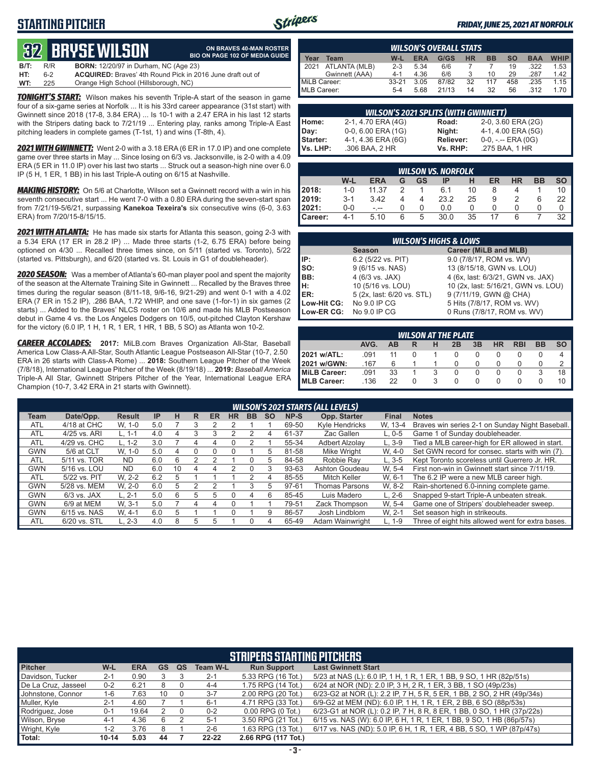# **STARTING PITCHER**



**ON BRAVES 40-MAN ROSTER**

#### *FRIDAY, JUNE 25, 2021 AT NORFOLK*

# **32****BRYSE WILSON**

|      |     | TYS DILIUL MILUUIL                                                | <b>BIO ON PAGE 102 OF MEDIA GUIDE</b> |
|------|-----|-------------------------------------------------------------------|---------------------------------------|
| B/T: | R/R | <b>BORN:</b> 12/20/97 in Durham. NC (Age 23)                      |                                       |
| HT:  | հ-2 | <b>ACQUIRED:</b> Braves' 4th Round Pick in 2016 June draft out of |                                       |
| WT:  | 225 | Orange High School (Hillsborough, NC)                             |                                       |

**TONIGHT'S START:** Wilson makes his seventh Triple-A start of the season in game four of a six-game series at Norfolk ... It is his 33rd career appearance (31st start) with Gwinnett since 2018 (17-8, 3.84 ERA) ... Is 10-1 with a 2.47 ERA in his last 12 starts with the Stripers dating back to 7/21/19 ... Entering play, ranks among Triple-A East pitching leaders in complete games (T-1st, 1) and wins (T-8th, 4).

*2021 WITH GWINNETT:* Went 2-0 with a 3.18 ERA (6 ER in 17.0 IP) and one complete game over three starts in May ... Since losing on 6/3 vs. Jacksonville, is 2-0 with a 4.09 ERA (5 ER in 11.0 IP) over his last two starts ... Struck out a season-high nine over 6.0 IP (5 H, 1 ER, 1 BB) in his last Triple-A outing on 6/15 at Nashville.

*MAKING HISTORY:* On 5/6 at Charlotte, Wilson set a Gwinnett record with a win in his seventh consecutive start ... He went 7-0 with a 0.80 ERA during the seven-start span from 7/21/19-5/6/21, surpassing **Kanekoa Texeira's** six consecutive wins (6-0, 3.63 ERA) from 7/20/15-8/15/15.

*2021 WITH ATLANTA:* He has made six starts for Atlanta this season, going 2-3 with a 5.34 ERA (17 ER in 28.2 IP) ... Made three starts (1-2, 6.75 ERA) before being optioned on 4/30 ... Recalled three times since, on 5/11 (started vs. Toronto), 5/22 (started vs. Pittsburgh), and 6/20 (started vs. St. Louis in G1 of doubleheader).

*2020 SEASON:* Was a member of Atlanta's 60-man player pool and spent the majority of the season at the Alternate Training Site in Gwinnett ... Recalled by the Braves three times during the regular season (8/11-18, 9/6-16, 9/21-29) and went 0-1 with a 4.02 ERA (7 ER in 15.2 IP), .286 BAA, 1.72 WHIP, and one save (1-for-1) in six games (2 starts) ... Added to the Braves' NLCS roster on 10/6 and made his MLB Postseason debut in Game 4 vs. the Los Angeles Dodgers on 10/5, out-pitched Clayton Kershaw for the victory (6.0 IP, 1 H, 1 R, 1 ER, 1 HR, 1 BB, 5 SO) as Atlanta won 10-2.

*CAREER ACCOLADES:* **2017:** MiLB.com Braves Organization All-Star, Baseball America Low Class-A All-Star, South Atlantic League Postseason All-Star (10-7, 2.50 ERA in 26 starts with Class-A Rome) ... **2018:** Southern League Pitcher of the Week (7/8/18), International League Pitcher of the Week (8/19/18) ... **2019:** *Baseball America*  Triple-A All Star, Gwinnett Stripers Pitcher of the Year, International League ERA Champion (10-7, 3.42 ERA in 21 starts with Gwinnett).

|                    | <b>WILSON'S OVERALL STATS</b> |           |            |       |           |           |           |            |             |  |
|--------------------|-------------------------------|-----------|------------|-------|-----------|-----------|-----------|------------|-------------|--|
| Year               | Team                          | W-L       | <b>ERA</b> | G/GS  | <b>HR</b> | <b>BB</b> | <b>SO</b> | <b>BAA</b> | <b>WHIP</b> |  |
| 2021               | ATLANTA (MLB)                 | $2 - 3$   | 5.34       | 6/6   |           |           | 19        | .322       | 1.53        |  |
|                    | Gwinnett (AAA)                | $4 - 1$   | 4.36       | 6/6   |           | 10        | 29        | .287       | 1.42        |  |
| MiLB Career:       |                               | $33 - 21$ | 3.05       | 87/82 | 32        | 117       | 458       | .235       | 1.15        |  |
| <b>MLB Career:</b> |                               | $5-4$     | 5.68       | 21/13 | 14        | 32        | 56        | .312       | 1.70        |  |

|                 | <b>WILSON'S 2021 SPLITS (WITH GWINNETT)</b> |                  |                       |
|-----------------|---------------------------------------------|------------------|-----------------------|
| Home:           | 2-1, 4.70 ERA (4G)                          | Road:            | 2-0, 3.60 ERA (2G)    |
| Day:            | 0-0, 6.00 ERA (1G)                          | Night:           | 4-1, 4.00 ERA (5G)    |
| <b>Starter:</b> | 4-1, 4.36 ERA (6G)                          | <b>Reliever:</b> | $0-0, - -$ ERA $(0G)$ |
| Vs. LHP:        | .306 BAA, 2 HR                              | Vs. RHP:         | .275 BAA, 1 HR        |

|         |         |            |   |    | <b>WILSON VS. NORFOLK</b> |    |    |           |           |           |
|---------|---------|------------|---|----|---------------------------|----|----|-----------|-----------|-----------|
|         | W-L     | <b>ERA</b> | G | GS | IP                        | н  | ER | <b>HR</b> | <b>BB</b> | <b>SO</b> |
| 2018:   | $1 - 0$ | 11.37      | っ |    | 6.1                       | 10 | 8  |           |           | 10        |
| 2019:   | $3 - 1$ | 3.42       |   |    | 23.2                      | 25 | 9  |           | 6         | 22        |
| 12021:  | $0-0$   | - --       |   | O  | 0.0                       | 0  |    |           |           |           |
| Career: | $4 - 1$ | 5.10       | 6 | 5  | 30.0                      | 35 |    |           |           | 32        |

|                                        | <b>WILSON'S HIGHS &amp; LOWS</b> |                                     |  |  |  |  |  |  |  |  |
|----------------------------------------|----------------------------------|-------------------------------------|--|--|--|--|--|--|--|--|
| Career (MiLB and MLB)<br><b>Season</b> |                                  |                                     |  |  |  |  |  |  |  |  |
| IP:                                    | 6.2 (5/22 vs. PIT)               | 9.0 (7/8/17, ROM vs. WV)            |  |  |  |  |  |  |  |  |
| so:                                    | 9 (6/15 vs. NAS)                 | 13 (8/15/18, GWN vs. LOU)           |  |  |  |  |  |  |  |  |
| IBB:                                   | 4 (6/3 vs. JAX)                  | 4 (6x, last: 6/3/21, GWN vs. JAX)   |  |  |  |  |  |  |  |  |
| Iн:                                    | 10 (5/16 vs. LOU)                | 10 (2x, last: 5/16/21, GWN vs. LOU) |  |  |  |  |  |  |  |  |
| <b>IER:</b>                            | 5 (2x, last: 6/20 vs. STL)       | 9 (7/11/19, GWN @ CHA)              |  |  |  |  |  |  |  |  |
| Low-Hit CG:                            | No 9.0 IP CG                     | 5 Hits (7/8/17, ROM vs. WV)         |  |  |  |  |  |  |  |  |
| Low-ER CG:                             | No 9.0 IP CG                     | 0 Runs (7/8/17, ROM vs. WV)         |  |  |  |  |  |  |  |  |

|              | <b>WILSON AT THE PLATE</b> |    |  |   |    |    |           |            |           |     |  |  |
|--------------|----------------------------|----|--|---|----|----|-----------|------------|-----------|-----|--|--|
|              | AVG.                       | AВ |  | н | 2B | 3B | <b>HR</b> | <b>RBI</b> | <b>BB</b> | SO. |  |  |
| 2021 w/ATL:  | .091                       | 11 |  |   |    |    |           |            |           |     |  |  |
| 2021 w/GWN:  | .167                       | 6  |  |   |    |    | O         | O          |           |     |  |  |
| MiLB Career: | .091                       | 33 |  |   |    |    | 0         | 0          | 3         | 18  |  |  |
| MLB Career:  | .136                       | 22 |  |   |    |    |           |            |           |     |  |  |

|            | <b>WILSON'S 2021 STARTS (ALL LEVELS)</b> |               |           |    |   |    |           |           |           |       |                    |              |                                                   |
|------------|------------------------------------------|---------------|-----------|----|---|----|-----------|-----------|-----------|-------|--------------------|--------------|---------------------------------------------------|
| Team       | Date/Opp.                                | <b>Result</b> | <b>IP</b> | н  | R | ER | <b>HR</b> | <b>BB</b> | <b>SO</b> | NP-S  | Opp. Starter       | <b>Final</b> | <b>Notes</b>                                      |
| ATL        | 4/18 at CHC                              | W. 1-0        | 5.0       |    | 3 |    |           |           |           | 69-50 | Kyle Hendricks     | W. 13-4      | Braves win series 2-1 on Sunday Night Baseball.   |
| <b>ATL</b> | 4/25 vs. ARI                             | $L. 1-1$      | 4.0       | 4  |   |    |           |           | 4         | 61-37 | Zac Gallen         | $L.0 - 5$    | Game 1 of Sunday doubleheader.                    |
| <b>ATL</b> | 4/29 vs. CHC                             | L. 1-2        | 3.0       |    |   | 4  | 0         |           |           | 55-34 | Adbert Alzolav     | $L.3-9$      | Tied a MLB career-high for ER allowed in start.   |
| <b>GWN</b> | 5/6 at CLT                               | W. 1-0        | 5.0       | 4  |   | 0  |           |           | h.        | 81-58 | <b>Mike Wright</b> | W. 4-0       | Set GWN record for consec. starts with win (7).   |
| <b>ATL</b> | 5/11 vs. TOR                             | ND.           | 6.0       | 6  |   |    |           | 0         | .h        | 84-58 | Robbie Rav         | $L.3 - 5$    | Kept Toronto scoreless until Guerrero Jr. HR.     |
| <b>GWN</b> | 5/16 vs. LOU                             | ND.           | 6.0       | 10 | 4 | 4  |           | 0         |           | 93-63 | Ashton Goudeau     | W. 5-4       | First non-win in Gwinnett start since 7/11/19.    |
| <b>ATL</b> | 5/22 vs. PIT                             | W. 2-2        | 6.2       | 5  |   |    |           |           | 4         | 85-55 | Mitch Keller       | W. 6-1       | The 6.2 IP were a new MLB career high.            |
| <b>GWN</b> | 5/28 vs. MEM                             | W. 2-0        | 6.0       | 5  | 2 |    |           | 3         | 5         | 97-61 | Thomas Parsons     | W. 8-2       | Rain-shortened 6.0-inning complete game.          |
| <b>GWN</b> | $6/3$ vs. JAX                            | $L. 2-1$      | 5.0       | 6  | 5 | 5  | O         | 4         | 6         | 85-45 | Luis Madero        | $L. 2-6$     | Snapped 9-start Triple-A unbeaten streak.         |
| <b>GWN</b> | 6/9 at MEM                               | W. 3-1        | 5.0       |    |   | Δ  |           |           |           | 79-51 | Zack Thompson      | W. 5-4       | Game one of Stripers' doubleheader sweep.         |
| <b>GWN</b> | 6/15 vs. NAS                             | W. 4-1        | 6.0       | 5  |   |    |           |           |           | 86-57 | Josh Lindblom      | W. 2-1       | Set season high in strikeouts.                    |
| <b>ATL</b> | 6/20 vs. STL                             | $L, 2-3$      | 4.0       | 8  | 5 | 5  |           | 0         |           | 65-49 | Adam Wainwright    | $L. 1-9$     | Three of eight hits allowed went for extra bases. |

|                     | <b>STRIPERS STARTING PITCHERS</b> |            |           |    |                 |                       |                                                                        |  |  |  |  |
|---------------------|-----------------------------------|------------|-----------|----|-----------------|-----------------------|------------------------------------------------------------------------|--|--|--|--|
| <b>Pitcher</b>      | W-L                               | <b>ERA</b> | <b>GS</b> | QS | <b>Team W-L</b> | <b>Run Support</b>    | <b>Last Gwinnett Start</b>                                             |  |  |  |  |
| Davidson, Tucker    | $2 - 1$                           | 0.90       |           |    | $2 - 1$         | 5.33 RPG (16 Tot.)    | 5/23 at NAS (L): 6.0 IP, 1 H, 1 R, 1 ER, 1 BB, 9 SO, 1 HR (82p/51s)    |  |  |  |  |
| De La Cruz, Jasseel | $0 - 2$                           | 6.21       | 8         |    | $4 - 4$         | 1.75 RPG (14 Tot.)    | 6/24 at NOR (ND): 2.0 IP, 3 H, 2 R, 1 ER, 3 BB, 1 SO (49p/23s)         |  |  |  |  |
| Johnstone, Connor   | 1-6                               | 7.63       | 10        |    | $3 - 7$         | 2.00 RPG (20 Tot.)    | 6/23-G2 at NOR (L): 2.2 IP, 7 H, 5 R, 5 ER, 1 BB, 2 SO, 2 HR (49p/34s) |  |  |  |  |
| Muller, Kyle        | $2 - 1$                           | 4.60       |           |    | $6 - 1$         | 4.71 RPG (33 Tot.)    | 6/9-G2 at MEM (ND): 6.0 IP, 1 H, 1 R, 1 ER, 2 BB, 6 SO (88p/53s)       |  |  |  |  |
| Rodriguez, Jose     | $0 - 1$                           | 19.64      |           |    | $0 - 2$         | $0.00$ RPG $(0$ Tot.) | 6/23-G1 at NOR (L): 0.2 IP, 7 H, 8 R, 8 ER, 1 BB, 0 SO, 1 HR (37p/22s) |  |  |  |  |
| Wilson, Bryse       | $4 - 1$                           | 4.36       | 6         |    | $5 - 1$         | 3.50 RPG (21 Tot.)    | 6/15 vs. NAS (W): 6.0 IP, 6 H, 1 R, 1 ER, 1 BB, 9 SO, 1 HB (86p/57s)   |  |  |  |  |
| Wright, Kyle        | 1-2                               | 3.76       | 8         |    | $2 - 6$         | 1.63 RPG (13 Tot.)    | 6/17 vs. NAS (ND): 5.0 IP, 6 H, 1 R, 1 ER, 4 BB, 5 SO, 1 WP (87p/47s)  |  |  |  |  |
| Total:              | $10 - 14$                         | 5.03       | 44        |    | $22 - 22$       | 2.66 RPG (117 Tot.)   |                                                                        |  |  |  |  |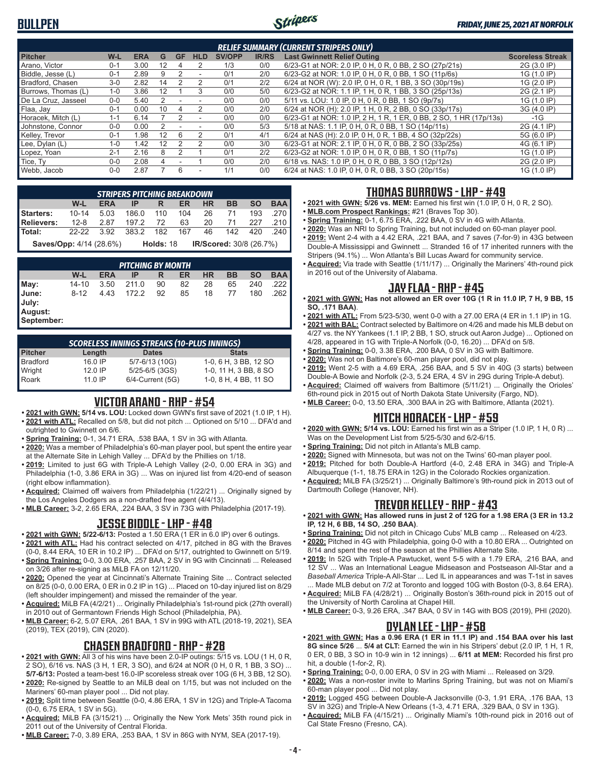# **BULLPEN**



| <b>RELIEF SUMMARY (CURRENT STRIPERS ONLY)</b> |         |      |    |    |                          |               |              |                                                                    |                         |  |
|-----------------------------------------------|---------|------|----|----|--------------------------|---------------|--------------|--------------------------------------------------------------------|-------------------------|--|
| <b>Pitcher</b>                                | $W-L$   | ERA  | G  | GF | <b>HLD</b>               | <b>SV/OPP</b> | <b>IR/RS</b> | <b>Last Gwinnett Relief Outing</b>                                 | <b>Scoreless Streak</b> |  |
| Arano. Victor                                 | $0 - 1$ | 3.00 | 12 |    | 2                        | 1/3           | 0/0          | 6/23-G1 at NOR: 2.0 IP, 0 H, 0 R, 0 BB, 2 SO (27p/21s)             | 2G (3.0 IP)             |  |
| Biddle, Jesse (L)                             | $0 - 1$ | 2.89 |    |    |                          | 0/1           | 2/0          | 6/23-G2 at NOR: 1.0 IP, 0 H, 0 R, 0 BB, 1 SO (11p/6s)              | 1G (1.0 IP)             |  |
| Bradford, Chasen                              | $3-0$   | 2.82 | 14 |    | 2                        | 0/1           | 2/2          | 6/24 at NOR (W): 2.0 IP, 0 H, 0 R, 1 BB, 3 SO (30p/19s)            | 1G (2.0 IP)             |  |
| Burrows, Thomas (L)                           | $1 - 0$ | 3.86 | 12 |    | 3                        | 0/0           | 5/0          | 6/23-G2 at NOR: 1.1 IP, 1 H, 0 R, 1 BB, 3 SO (25p/13s)             | 2G (2.1 IP)             |  |
| De La Cruz. Jasseel                           | $0 - 0$ | 5.40 |    |    |                          | 0/0           | 0/0          | 5/11 vs. LOU: 1.0 IP, 0 H, 0 R, 0 BB, 1 SO (9p/7s)                 | 1G (1.0 IP)             |  |
| Flaa, Jay                                     | $0 - 1$ | 0.00 | 10 | 4  | 2                        | 0/0           | 2/0          | 6/24 at NOR (H): 2.0 IP, 1 H, 0 R, 2 BB, 0 SO (33p/17s)            | 3G (4.0 IP)             |  |
| Horacek, Mitch (L)                            | $1 - 1$ | 6.14 |    |    | $\overline{\phantom{a}}$ | 0/0           | 0/0          | 6/23-G1 at NOR: 1.0 IP, 2 H, 1 R, 1 ER, 0 BB, 2 SO, 1 HR (17p/13s) | $-1G$                   |  |
| Johnstone, Connor                             | $0 - 0$ | 0.00 |    |    |                          | 0/0           | 5/3          | 5/18 at NAS: 1.1 IP, 0 H, 0 R, 0 BB, 1 SO (14p/11s)                | 2G (4.1 IP)             |  |
| Kelley, Trevor                                | $0 - 1$ | .98  | 12 | 6  |                          | 0/1           | 4/1          | 6/24 at NAS (H): 2.0 IP, 0 H, 0 R, 1 BB, 4 SO (32p/22s)            | 5G (6.0 IP)             |  |
| Lee, Dylan (L)                                | $1 - 0$ | .42  | 12 |    | 2                        | 0/0           | 3/0          | 6/23-G1 at NOR: 2.1 IP, 0 H, 0 R, 0 BB, 2 SO (33p/25s)             | 4G (6.1 IP)             |  |
| 'Lopez, Yoan                                  | $2 - 1$ | 2.16 | 8  |    |                          | 0/1           | 2/2          | 6/23-G2 at NOR: 1.0 IP, 0 H, 0 R, 0 BB, 1 SO (11p/7s)              | 1G (1.0 IP)             |  |
| Tice, Ty                                      | $0 - 0$ | 2.08 |    |    |                          | 0/0           | 2/0          | 6/18 vs. NAS: 1.0 IP, 0 H, 0 R, 0 BB, 3 SO (12p/12s)               | 2G (2.0 IP)             |  |
| Webb, Jacob                                   | $0-0$   | 2.87 |    | 6  | $\overline{\phantom{a}}$ | 1/1           | 0/0          | 6/24 at NAS: 1.0 IP, 0 H, 0 R, 0 BB, 3 SO (20p/15s)                | 1G (1.0 IP)             |  |

|                                |           |            | <b>STRIPERS PITCHING BREAKDOWN</b> |                  |           |           |                         |           |            |
|--------------------------------|-----------|------------|------------------------------------|------------------|-----------|-----------|-------------------------|-----------|------------|
|                                | W-L       | <b>ERA</b> | IP                                 | R                | <b>ER</b> | <b>HR</b> | <b>BB</b>               | <b>SO</b> | <b>BAA</b> |
| Starters:                      | $10 - 14$ | 5.03       | 186.0                              | 110              | 104       | 26        | 71                      | 193       | .270       |
| <b>Relievers:</b>              | $12 - 8$  | 2.87       | 197.2                              | 72               | 63        | <b>20</b> | 71                      | 227       | .210       |
| Total:                         | 22-22     | 3.92       | 383.2                              | 182              | 167       | 46        | 142                     | 420       | .240       |
| <b>Saves/Opp:</b> 4/14 (28.6%) |           |            |                                    | <b>Holds: 18</b> |           |           | IR/Scored: 30/8 (26.7%) |           |            |

|                                                |          |            | <b>PITCHING BY MONTH</b> |    |    |           |           |           |            |
|------------------------------------------------|----------|------------|--------------------------|----|----|-----------|-----------|-----------|------------|
|                                                | W-L      | <b>ERA</b> | IP                       | R  | ER | <b>HR</b> | <b>BB</b> | <b>SO</b> | <b>BAA</b> |
| May:                                           | 14-10    | 3.50       | 211.0                    | 90 | 82 | 28        | 65        | 240       | .222       |
| <b>June:</b><br>July:<br>August:<br>September: | $8 - 12$ | 4.43       | 172.2                    | 92 | 85 | 18        | 77        | 180       | .262       |

| <b>SCORELESS INNINGS STREAKS (10-PLUS INNINGS)</b> |           |                       |                       |  |  |  |  |  |  |  |  |
|----------------------------------------------------|-----------|-----------------------|-----------------------|--|--|--|--|--|--|--|--|
| Pitcher                                            | Length    | <b>Dates</b>          | <b>Stats</b>          |  |  |  |  |  |  |  |  |
| Bradford                                           | $16.0$ IP | 5/7-6/13 (10G)        | 1-0, 6 H, 3 BB, 12 SO |  |  |  |  |  |  |  |  |
|                                                    | $12.0$ IP | 5/25-6/5 (3GS)        | 1-0, 11 H, 3 BB, 8 SO |  |  |  |  |  |  |  |  |
| Wright<br>Roark                                    | $11.0$ IP | $6/4$ -Current $(5G)$ | 1-0, 8 H, 4 BB, 11 SO |  |  |  |  |  |  |  |  |

## **VICTOR ARANO - RHP - #54**

- **• 2021 with GWN: 5/14 vs. LOU:** Locked down GWN's first save of 2021 (1.0 IP, 1 H). **• 2021 with ATL:** Recalled on 5/8, but did not pitch ... Optioned on 5/10 ... DFA'd and
- outrighted to Gwinnett on 6/6. **• Spring Training:** 0-1, 34.71 ERA, .538 BAA, 1 SV in 3G with Atlanta.
- **• 2020:** Was a member of Philadelphia's 60-man player pool, but spent the entire year at the Alternate Site in Lehigh Valley ... DFA'd by the Phillies on 1/18.
- **• 2019:** Limited to just 6G with Triple-A Lehigh Valley (2-0, 0.00 ERA in 3G) and Philadelphia (1-0, 3.86 ERA in 3G) ... Was on injured list from 4/20-end of season (right elbow inflammation).
- **• Acquired:** Claimed off waivers from Philadelphia (1/22/21) ... Originally signed by the Los Angeles Dodgers as a non-drafted free agent (4/4/13).
- **• MLB Career:** 3-2, 2.65 ERA, .224 BAA, 3 SV in 73G with Philadelphia (2017-19).

#### **JESSE BIDDLE - LHP - #48**

- **• 2021 with GWN: 5/22-6/13:** Posted a 1.50 ERA (1 ER in 6.0 IP) over 6 outings.
- **• 2021 with ATL:** Had his contract selected on 4/17, pitched in 8G with the Braves (0-0, 8.44 ERA, 10 ER in 10.2 IP) ... DFA'd on 5/17, outrighted to Gwinnett on 5/19.
- **• Spring Training:** 0-0, 3.00 ERA, .257 BAA, 2 SV in 9G with Cincinnati ... Released on 3/26 after re-signing as MiLB FA on 12/11/20.
- **• 2020:** Opened the year at Cincinnati's Alternate Training Site ... Contract selected on 8/25 (0-0, 0.00 ERA, 0 ER in 0.2 IP in 1G) ... Placed on 10-day injured list on 8/29 (left shoulder impingement) and missed the remainder of the year.
- **• Acquired:** MiLB FA (4/2/21) ... Originally Philadelphia's 1st-round pick (27th overall) in 2010 out of Germantown Friends High School (Philadelphia, PA).
- **• MLB Career:** 6-2, 5.07 ERA, .261 BAA, 1 SV in 99G with ATL (2018-19, 2021), SEA (2019), TEX (2019), CIN (2020).

# **CHASEN BRADFORD - RHP - #28**

- **• 2021 with GWN:** All 3 of his wins have been 2.0-IP outings: 5/15 vs. LOU (1 H, 0 R, 2 SO), 6/16 vs. NAS (3 H, 1 ER, 3 SO), and 6/24 at NOR (0 H, 0 R, 1 BB, 3 SO) ... **5/7-6/13:** Posted a team-best 16.0-IP scoreless streak over 10G (6 H, 3 BB, 12 SO).
- **• 2020:** Re-signed by Seattle to an MiLB deal on 1/15, but was not included on the Mariners' 60-man player pool ... Did not play.
- **• 2019:** Split time between Seattle (0-0, 4.86 ERA, 1 SV in 12G) and Triple-A Tacoma (0-0, 6.75 ERA, 1 SV in 5G).
- **• Acquired:** MiLB FA (3/15/21) ... Originally the New York Mets' 35th round pick in 2011 out of the University of Central Florida.
- **• MLB Career:** 7-0, 3.89 ERA, .253 BAA, 1 SV in 86G with NYM, SEA (2017-19).

# **THOMAS BURROWS - LHP - #49**

- **• 2021 with GWN: 5/26 vs. MEM:** Earned his first win (1.0 IP, 0 H, 0 R, 2 SO).
- **• MLB.com Prospect Rankings:** #21 (Braves Top 30).
- **• Spring Training:** 0-1, 6.75 ERA, .222 BAA, 0 SV in 4G with Atlanta.
- **• 2020:** Was an NRI to Spring Training, but not included on 60-man player pool. **• 2019:** Went 2-4 with a 4.42 ERA, .221 BAA, and 7 saves (7-for-9) in 43G between Double-A Mississippi and Gwinnett ... Stranded 16 of 17 inherited runners with the Stripers (94.1%) ... Won Atlanta's Bill Lucas Award for community service.
- **• Acquired:** Via trade with Seattle (1/11/17) ... Originally the Mariners' 4th-round pick in 2016 out of the University of Alabama.

## **JAY FLAA - RHP - #45**

- **• 2021 with GWN: Has not allowed an ER over 10G (1 R in 11.0 IP, 7 H, 9 BB, 15 SO, .171 BAA)**.
- **• 2021 with ATL:** From 5/23-5/30, went 0-0 with a 27.00 ERA (4 ER in 1.1 IP) in 1G.
- **• 2021 with BAL:** Contract selected by Baltimore on 4/26 and made his MLB debut on 4/27 vs. the NY Yankees (1.1 IP, 2 BB, 1 SO, struck out Aaron Judge) ... Optioned on 4/28, appeared in 1G with Triple-A Norfolk (0-0, 16.20) ... DFA'd on 5/8.
- **• Spring Training:** 0-0, 3.38 ERA, .200 BAA, 0 SV in 3G with Baltimore.
- **• 2020:** Was not on Baltimore's 60-man player pool, did not play.
- **• 2019:** Went 2-5 with a 4.69 ERA, .256 BAA, and 5 SV in 40G (3 starts) between Double-A Bowie and Norfolk (2-3, 5.24 ERA, 4 SV in 29G during Triple-A debut).
- **• Acquired:** Claimed off waivers from Baltimore (5/11/21) ... Originally the Orioles' 6th-round pick in 2015 out of North Dakota State University (Fargo, ND).
- **• MLB Career:** 0-0, 13.50 ERA, .300 BAA in 2G with Baltimore, Atlanta (2021).

# **MITCH HORACEK - LHP - #59**

- **• 2020 with GWN: 5/14 vs. LOU:** Earned his first win as a Striper (1.0 IP, 1 H, 0 R) ... Was on the Development List from 5/25-5/30 and 6/2-6/15.
- **• Spring Training:** Did not pitch in Atlanta's MLB camp.
- **• 2020:** Signed with Minnesota, but was not on the Twins' 60-man player pool.
- **• 2019:** Pitched for both Double-A Hartford (4-0, 2.48 ERA in 34G) and Triple-A Albuquerque (1-1, 18.75 ERA in 12G) in the Colorado Rockies organization.
- **• Acquired:** MiLB FA (3/25/21) ... Originally Baltimore's 9th-round pick in 2013 out of Dartmouth College (Hanover, NH).

# **TREVOR KELLEY - RHP - #43**

- **• 2021 with GWN: Has allowed runs in just 2 of 12G for a 1.98 ERA (3 ER in 13.2 IP, 12 H, 6 BB, 14 SO, .250 BAA)**.
- **• Spring Training:** Did not pitch in Chicago Cubs' MLB camp ... Released on 4/23.
- **• 2020:** Pitched in 4G with Philadelphia, going 0-0 with a 10.80 ERA ... Outrighted on 8/14 and spent the rest of the season at the Phillies Alternate Site.
- **• 2019:** In 52G with Triple-A Pawtucket, went 5-5 with a 1.79 ERA, .216 BAA, and 12 SV ... Was an International League Midseason and Postseason All-Star and a *Baseball America* Triple-A All-Star ... Led IL in appearances and was T-1st in saves ... Made MLB debut on 7/2 at Toronto and logged 10G with Boston (0-3, 8.64 ERA).
- **• Acquired:** MiLB FA (4/28/21) ... Originally Boston's 36th-round pick in 2015 out of the University of North Carolina at Chapel Hill.
- **• MLB Career:** 0-3, 9.26 ERA, .347 BAA, 0 SV in 14G with BOS (2019), PHI (2020).

## **DYLAN LEE - LHP - #58**

- **• 2021 with GWN: Has a 0.96 ERA (1 ER in 11.1 IP) and .154 BAA over his last 8G since 5/26** ... **5/4 at CLT:** Earned the win in his Stripers' debut (2.0 IP, 1 H, 1 R, 0 ER, 0 BB, 3 SO in 10-9 win in 12 innings) ... **6/11 at MEM:** Recorded his first pro hit, a double (1-for-2, R).
- **• Spring Training:** 0-0, 0.00 ERA, 0 SV in 2G with Miami ... Released on 3/29.
- **• 2020:** Was a non-roster invite to Marlins Spring Training, but was not on Miami's 60-man player pool ... Did not play.
- **• 2019:** Logged 45G between Double-A Jacksonville (0-3, 1.91 ERA, .176 BAA, 13 SV in 32G) and Triple-A New Orleans (1-3, 4.71 ERA, .329 BAA, 0 SV in 13G).
- **• Acquired:** MiLB FA (4/15/21) ... Originally Miami's 10th-round pick in 2016 out of Cal State Fresno (Fresno, CA).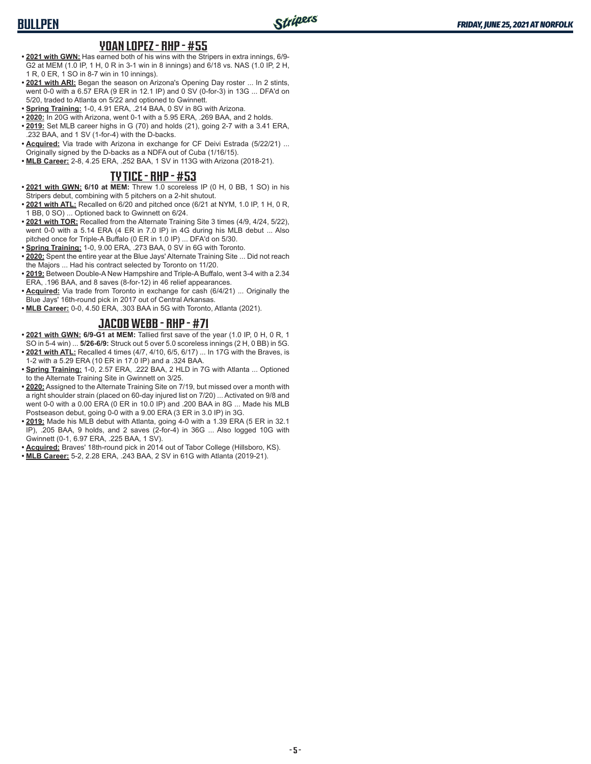#### **YOAN LOPEZ - RHP - #55**

- **• 2021 with GWN:** Has earned both of his wins with the Stripers in extra innings, 6/9- G2 at MEM (1.0 IP, 1 H, 0 R in 3-1 win in 8 innings) and 6/18 vs. NAS (1.0 IP, 2 H, 1 R, 0 ER, 1 SO in 8-7 win in 10 innings).
- **• 2021 with ARI:** Began the season on Arizona's Opening Day roster ... In 2 stints, went 0-0 with a 6.57 ERA (9 ER in 12.1 IP) and 0 SV (0-for-3) in 13G ... DFA'd on 5/20, traded to Atlanta on 5/22 and optioned to Gwinnett.
- **• Spring Training:** 1-0, 4.91 ERA, .214 BAA, 0 SV in 8G with Arizona.
- **• 2020:** In 20G with Arizona, went 0-1 with a 5.95 ERA, .269 BAA, and 2 holds.
- **• 2019:** Set MLB career highs in G (70) and holds (21), going 2-7 with a 3.41 ERA, .232 BAA, and 1 SV (1-for-4) with the D-backs.
- **• Acquired:** Via trade with Arizona in exchange for CF Deivi Estrada (5/22/21) ... Originally signed by the D-backs as a NDFA out of Cuba (1/16/15).
- **• MLB Career:** 2-8, 4.25 ERA, .252 BAA, 1 SV in 113G with Arizona (2018-21).

#### **TY TICE - RHP - #53**

- **• 2021 with GWN: 6/10 at MEM:** Threw 1.0 scoreless IP (0 H, 0 BB, 1 SO) in his Stripers debut, combining with 5 pitchers on a 2-hit shutout.
- **• 2021 with ATL:** Recalled on 6/20 and pitched once (6/21 at NYM, 1.0 IP, 1 H, 0 R, 1 BB, 0 SO) ... Optioned back to Gwinnett on 6/24.
- **• 2021 with TOR:** Recalled from the Alternate Training Site 3 times (4/9, 4/24, 5/22), went 0-0 with a 5.14 ERA (4 ER in 7.0 IP) in 4G during his MLB debut ... Also pitched once for Triple-A Buffalo (0 ER in 1.0 IP) ... DFA'd on 5/30.
- **• Spring Training:** 1-0, 9.00 ERA, .273 BAA, 0 SV in 6G with Toronto.
- **• 2020:** Spent the entire year at the Blue Jays' Alternate Training Site ... Did not reach the Majors ... Had his contract selected by Toronto on 11/20.
- **• 2019:** Between Double-A New Hampshire and Triple-A Buffalo, went 3-4 with a 2.34 ERA, .196 BAA, and 8 saves (8-for-12) in 46 relief appearances.
- **• Acquired:** Via trade from Toronto in exchange for cash (6/4/21) ... Originally the Blue Jays' 16th-round pick in 2017 out of Central Arkansas.
- **• MLB Career:** 0-0, 4.50 ERA, .303 BAA in 5G with Toronto, Atlanta (2021).

#### **JACOB WEBB - RHP - #71**

- **• 2021 with GWN: 6/9-G1 at MEM:** Tallied first save of the year (1.0 IP, 0 H, 0 R, 1 SO in 5-4 win) ... **5/26-6/9:** Struck out 5 over 5.0 scoreless innings (2 H, 0 BB) in 5G.
- **• 2021 with ATL:** Recalled 4 times (4/7, 4/10, 6/5, 6/17) ... In 17G with the Braves, is 1-2 with a 5.29 ERA (10 ER in 17.0 IP) and a .324 BAA.
- **• Spring Training:** 1-0, 2.57 ERA, .222 BAA, 2 HLD in 7G with Atlanta ... Optioned to the Alternate Training Site in Gwinnett on 3/25.
- **• 2020:** Assigned to the Alternate Training Site on 7/19, but missed over a month with a right shoulder strain (placed on 60-day injured list on 7/20) ... Activated on 9/8 and went 0-0 with a 0.00 ERA (0 ER in 10.0 IP) and .200 BAA in 8G ... Made his MLB Postseason debut, going 0-0 with a 9.00 ERA (3 ER in 3.0 IP) in 3G.
- **• 2019:** Made his MLB debut with Atlanta, going 4-0 with a 1.39 ERA (5 ER in 32.1 IP), .205 BAA, 9 holds, and 2 saves (2-for-4) in 36G ... Also logged 10G with Gwinnett (0-1, 6.97 ERA, .225 BAA, 1 SV).
- **• Acquired:** Braves' 18th-round pick in 2014 out of Tabor College (Hillsboro, KS).
- **• MLB Career:** 5-2, 2.28 ERA, .243 BAA, 2 SV in 61G with Atlanta (2019-21).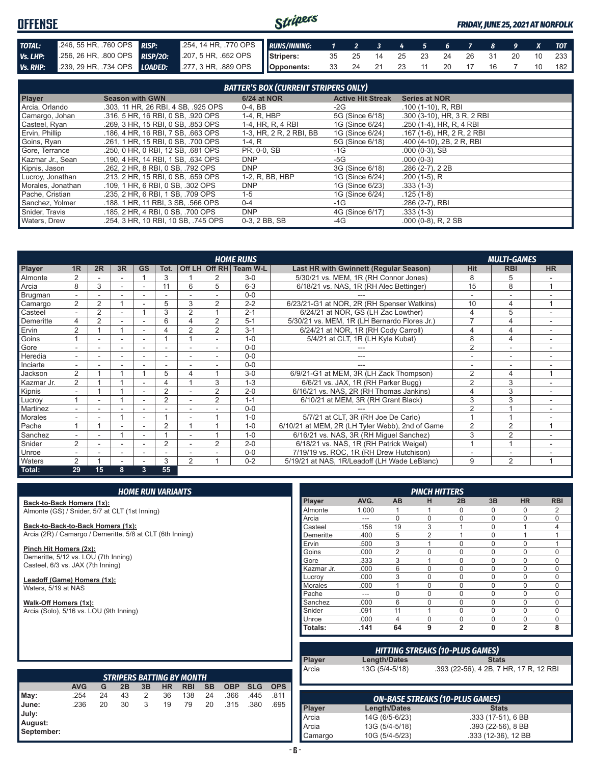#### Stripers **OFFENSE** *FRIDAY, JUNE 25, 2021 AT NORFOLK TOTAL:* .246, 55 HR, .760 OPS *RISP:* .254, 14 HR, .770 OPS *RUNS/INNING: 1 2 3 4 5 6 7 8 9 X TOT Vs. LHP:* .256, 26 HR, .800 OPS *RISP/2O:* .207, 5 HR, .652 OPS **Stripers:** 35 25 14 25 23 24 26 31 20 10 233 **Opponents:** 33 24 21 23 11 20 17 16 7 10 182 *Vs. RHP:* .239, 29 HR, .734 OPS *LOADED:* .277, 3 HR, .889 OPS

| <b>BATTER'S BOX (CURRENT STRIPERS ONLY)</b> |                                     |                         |                          |                             |  |
|---------------------------------------------|-------------------------------------|-------------------------|--------------------------|-----------------------------|--|
| <b>Player</b>                               | <b>Season with GWN</b>              | <b>6/24 at NOR</b>      | <b>Active Hit Streak</b> | <b>Series at NOR</b>        |  |
| Arcia, Orlando                              | .303, 11 HR, 26 RBI, 4 SB, .925 OPS | $0-4$ , BB              | -2G                      | .100 (1-10), R, RBI         |  |
| Camargo, Johan                              | .316, 5 HR, 16 RBI, 0 SB, .920 OPS  | 1-4, R, HBP             | 5G (Since 6/18)          | .300 (3-10), HR, 3 R, 2 RBI |  |
| Casteel, Ryan                               | .269, 3 HR, 15 RBI, 0 SB, .853 OPS  | 1-4, HR, R, 4 RBI       | 1G (Since 6/24)          | .250 (1-4), HR, R, 4 RBI    |  |
| Ervin, Phillip                              | .186, 4 HR, 16 RBI, 7 SB, .663 OPS  | 1-3, HR, 2 R, 2 RBI, BB | 1G (Since 6/24)          | .167 (1-6), HR, 2 R, 2 RBI  |  |
| Goins, Ryan                                 | .261. 1 HR. 15 RBI. 0 SB. .700 OPS  | $1-4, R$                | 5G (Since 6/18)          | .400 (4-10), 2B, 2R, RBI    |  |
| Gore, Terrance                              | .250, 0 HR, 0 RBI, 12 SB, .681 OPS  | PR, 0-0, SB             | $-1G$                    | $.000(0-3)$ , SB            |  |
| Kazmar Jr., Sean                            | .190, 4 HR, 14 RBI, 1 SB, .634 OPS  | <b>DNP</b>              | -5G                      | $.000(0-3)$                 |  |
| Kipnis, Jason                               | .262, 2 HR, 8 RBI, 0 SB, .792 OPS   | <b>DNP</b>              | 3G (Since 6/18)          | $.286(2-7), 22B$            |  |
| Lucroy, Jonathan                            | .213, 2 HR, 15 RBI, 0 SB, .659 OPS  | 1-2, R, BB, HBP         | 1G (Since 6/24)          | $.200(1-5)$ , R             |  |
| Morales, Jonathan                           | .109, 1 HR, 6 RBI, 0 SB, .302 OPS   | <b>DNP</b>              | 1G (Since 6/23)          | $.333(1-3)$                 |  |
| Pache, Cristian                             | .235. 2 HR. 6 RBI. 1 SB. .709 OPS   | $1 - 5$                 | 1G (Since 6/24)          | $.125(1-8)$                 |  |
| Sanchez, Yolmer                             | .188. 1 HR. 11 RBI. 3 SB. .566 OPS  | $0 - 4$                 | $-1G$                    | .286 (2-7), RBI             |  |
| Snider, Travis                              | .185. 2 HR. 4 RBI. 0 SB. .700 OPS   | <b>DNP</b>              | 4G (Since 6/17)          | $.333(1-3)$                 |  |
| Waters, Drew                                | .254. 3 HR. 10 RBI. 10 SB. .745 OPS | 0-3.2 BB. SB            | -4G                      | $.000(0-8)$ , R, 2 SB       |  |

|                | <b>HOME RUNS</b><br><b>MULTI-GAMES</b> |                |                |           |                |                |                |                        |                                                 |                |                |           |
|----------------|----------------------------------------|----------------|----------------|-----------|----------------|----------------|----------------|------------------------|-------------------------------------------------|----------------|----------------|-----------|
| <b>Player</b>  | 1 <sub>R</sub>                         | 2R             | 3R             | <b>GS</b> | Tot.           |                |                | Off LH Off RH Team W-L | Last HR with Gwinnett (Regular Season)          | Hit            | <b>RBI</b>     | <b>HR</b> |
| Almonte        |                                        |                |                |           | 3              |                |                | $3-0$                  | 5/30/21 vs. MEM, 1R (RH Connor Jones)           | 8              | 5              |           |
| Arcia          | 8                                      | 3              | $\sim$         |           |                | 6              | 5              | $6 - 3$                | 6/18/21 vs. NAS, 1R (RH Alec Bettinger)         | 15             | 8              |           |
| Brugman        | $\overline{\phantom{0}}$               |                |                |           |                |                |                | $0 - 0$                |                                                 |                |                |           |
| Camargo        | $\overline{2}$                         | $\overline{2}$ |                |           | 5              | 3              | $\overline{2}$ | $2 - 2$                | 6/23/21-G1 at NOR, 2R (RH Spenser Watkins)      | 10             | $\overline{4}$ |           |
| Casteel        |                                        | $\overline{2}$ |                |           | 3              | $\overline{2}$ |                | $2 - 1$                | 6/24/21 at NOR, GS (LH Zac Lowther)             | 4              | 5              |           |
| Demeritte      | 4                                      | $\overline{2}$ | ٠              |           | 6              | 4              | 2              | $5 - 1$                | 5/30/21 vs. MEM, 1R (LH Bernardo Flores Jr.)    | $\overline{7}$ | 4              |           |
| Ervin          | $\overline{2}$                         |                | $\overline{ }$ |           | 4              | 2              | 2              | $3 - 1$                | 6/24/21 at NOR, 1R (RH Cody Carroll)            | 4              | 4              |           |
| Goins          |                                        |                | ٠              |           |                |                | ÷.             | $1 - 0$                | 5/4/21 at CLT, 1R (LH Kyle Kubat)               | 8              | 4              |           |
| Gore           |                                        |                | ۰              |           |                |                |                | $0 - 0$                |                                                 | 2              | ٠              |           |
| <b>Heredia</b> |                                        |                |                |           |                |                |                | $0 - 0$                |                                                 |                |                |           |
| Inciarte       | $\overline{\phantom{a}}$               |                |                |           |                |                | ÷.             | $0 - 0$                | $- - -$                                         | ۰              | ÷              |           |
| Jackson        | $\overline{2}$                         |                |                |           | 5              | 4              |                | $3-0$                  | 6/9/21-G1 at MEM, 3R (LH Zack Thompson)         | $\overline{2}$ | 4              |           |
| Kazmar Jr.     | 2                                      |                |                |           | 4              |                | 3              | $1 - 3$                | 6/6/21 vs. JAX, 1R (RH Parker Bugg)             | $\overline{2}$ | 3              |           |
| Kipnis         | $\sim$                                 |                |                |           | $\overline{2}$ |                | 2              | $2 - 0$                | 6/16/21 vs. NAS, 2R (RH Thomas Jankins)         | $\overline{4}$ | 3              |           |
| Lucroy         |                                        |                |                |           | $\overline{2}$ |                | $\overline{2}$ | $1 - 1$                | 6/10/21 at MEM, 3R (RH Grant Black)             | 3              | 3              |           |
| Martinez       |                                        |                |                |           |                |                |                | $0 - 0$                |                                                 | $\overline{2}$ |                |           |
| <b>Morales</b> |                                        |                |                |           |                |                |                | $1 - 0$                | 5/7/21 at CLT, 3R (RH Joe De Carlo)             |                |                |           |
| Pache          |                                        |                |                |           | $\overline{2}$ |                |                | $1 - 0$                | 6/10/21 at MEM, 2R (LH Tyler Webb), 2nd of Game | 2              | $\overline{2}$ |           |
| Sanchez        |                                        |                |                |           |                |                |                | $1 - 0$                | 6/16/21 vs. NAS, 3R (RH Miguel Sanchez)         | 3              | 2              |           |
| Snider         | $\mathcal{P}$                          |                | $\sim$         |           | 2              |                | $\mathfrak{D}$ | $2 - 0$                | 6/18/21 vs. NAS, 1R (RH Patrick Weigel)         |                |                |           |
| Unroe          | ٠                                      |                | ۰              |           |                |                |                | $0 - 0$                | 7/19/19 vs. ROC, 1R (RH Drew Hutchison)         |                | ٠              |           |
| <b>Waters</b>  | $\overline{2}$                         |                |                |           | 3              | 2              |                | $0 - 2$                | 5/19/21 at NAS, 1R/Leadoff (LH Wade LeBlanc)    | 9              | $\overline{2}$ |           |
| Total:         | 29                                     | 15             | 8              | 3         | 55             |                |                |                        |                                                 |                |                |           |

|                                                                           |            |    |    |    | <b>HOME RUN VARIANTS</b> |                                  |           |            |            |            |                |       |                                        | <b>PINCH HITTERS</b> |                                        |                     |                |                |
|---------------------------------------------------------------------------|------------|----|----|----|--------------------------|----------------------------------|-----------|------------|------------|------------|----------------|-------|----------------------------------------|----------------------|----------------------------------------|---------------------|----------------|----------------|
| Back-to-Back Homers (1x):                                                 |            |    |    |    |                          |                                  |           |            |            |            | Player         | AVG.  | <b>AB</b>                              | н                    | 2B                                     | 3B                  | <b>HR</b>      | <b>RBI</b>     |
| Almonte (GS) / Snider, 5/7 at CLT (1st Inning)                            |            |    |    |    |                          |                                  |           |            |            |            | Almonte        | 1.000 |                                        | 1                    | $\Omega$                               | $\Omega$            | $\Omega$       | 2              |
|                                                                           |            |    |    |    |                          |                                  |           |            |            |            | Arcia          | ---   | $\Omega$                               | $\Omega$             | $\Omega$                               | $\Omega$            | $\Omega$       | 0              |
| Back-to-Back-to-Back Homers (1x):                                         |            |    |    |    |                          |                                  |           |            |            |            | Casteel        | .158  | 19                                     | 3                    |                                        | $\Omega$            |                | $\overline{4}$ |
| Arcia (2R) / Camargo / Demeritte, 5/8 at CLT (6th Inning)                 |            |    |    |    |                          |                                  |           |            |            |            | Demeritte      | .400  | 5                                      | 2                    |                                        | $\Omega$            | $\mathbf 1$    | $\mathbf{1}$   |
|                                                                           |            |    |    |    |                          |                                  |           |            |            |            | Ervin          | .500  | 3                                      | $\mathbf{1}$         | $\Omega$                               | $\Omega$            | $\Omega$       | $\mathbf{1}$   |
| Pinch Hit Homers (2x):                                                    |            |    |    |    |                          |                                  |           |            |            |            | Goins          | .000  | $\overline{2}$                         | $\mathbf 0$          | $\Omega$                               | $\Omega$            | $\Omega$       | 0              |
| Demeritte, 5/12 vs. LOU (7th Inning)<br>Casteel, 6/3 vs. JAX (7th Inning) |            |    |    |    |                          |                                  |           |            |            |            | Gore           | .333  | 3                                      |                      | $\Omega$                               | $\Omega$            | $\Omega$       | $\mathbf 0$    |
|                                                                           |            |    |    |    |                          |                                  |           |            |            |            | Kazmar Jr.     | .000  | 6                                      | $\mathbf 0$          | $\Omega$                               | $\Omega$            | $\mathbf 0$    | $\mathbf 0$    |
| Leadoff (Game) Homers (1x):                                               |            |    |    |    |                          |                                  |           |            |            |            | Lucrov         | .000  | 3                                      | $\Omega$             | $\Omega$                               | $\Omega$            | $\Omega$       | $\mathbf 0$    |
| Waters, 5/19 at NAS                                                       |            |    |    |    |                          |                                  |           |            |            |            | <b>Morales</b> | .000  |                                        | $\mathbf 0$          | $\Omega$                               | $\Omega$            | $\Omega$       | $\mathbf 0$    |
|                                                                           |            |    |    |    |                          |                                  |           |            |            |            | Pache          | ---   | $\Omega$                               | 0                    | $\Omega$                               | $\Omega$            | $\Omega$       | $\mathbf 0$    |
| Walk-Off Homers (1x):                                                     |            |    |    |    |                          |                                  |           |            |            |            | Sanchez        | .000  | 6                                      | $\mathbf 0$          | $\Omega$                               | $\Omega$            | $\mathbf 0$    | $\mathbf 0$    |
| Arcia (Solo), 5/16 vs. LOU (9th Inning)                                   |            |    |    |    |                          |                                  |           |            |            |            | Snider         | .091  | 11                                     | $\mathbf{1}$         | $\Omega$                               | $\Omega$            | $\Omega$       | 0              |
|                                                                           |            |    |    |    |                          |                                  |           |            |            |            | Unroe          | .000  | $\overline{4}$                         | $\mathbf 0$          | $\Omega$                               | $\Omega$            | $\mathbf 0$    | $\mathbf 0$    |
|                                                                           |            |    |    |    |                          |                                  |           |            |            |            | Totals:        | .141  | 64                                     | 9                    | $\overline{2}$                         | $\mathbf{0}$        | $\overline{2}$ | 8              |
|                                                                           |            |    |    |    |                          |                                  |           |            |            |            |                |       | <b>HITTING STREAKS (10-PLUS GAMES)</b> |                      |                                        |                     |                |                |
|                                                                           |            |    |    |    |                          |                                  |           |            |            |            | Player         |       | Length/Dates                           |                      |                                        | <b>Stats</b>        |                |                |
|                                                                           |            |    |    |    |                          | <b>STRIPERS BATTING BY MONTH</b> |           |            |            |            | Arcia          |       | 13G (5/4-5/18)                         |                      | .393 (22-56), 4 2B, 7 HR, 17 R, 12 RBI |                     |                |                |
|                                                                           | <b>AVG</b> | G  | 2B | 3B | <b>HR</b>                | <b>RBI</b>                       | <b>SB</b> | <b>OBP</b> | <b>SLG</b> | <b>OPS</b> |                |       |                                        |                      |                                        |                     |                |                |
| May:                                                                      | .254       | 24 | 43 | 2  | 36                       | 138                              | 24        | .366       | .445       | .811       |                |       | <b>ON-BASE STREAKS (10-PLUS GAMES)</b> |                      |                                        |                     |                |                |
| June:                                                                     | .236       | 20 | 30 | 3  | 19                       | 79                               | 20        | .315       | .380       | .695       |                |       |                                        |                      |                                        |                     |                |                |
| July:                                                                     |            |    |    |    |                          |                                  |           |            |            |            | Player         |       | Length/Dates                           |                      |                                        | <b>Stats</b>        |                |                |
| August:                                                                   |            |    |    |    |                          |                                  |           |            |            |            | Arcia          |       | 14G (6/5-6/23)                         |                      |                                        | .333 (17-51), 6 BB  |                |                |
| September:                                                                |            |    |    |    |                          |                                  |           |            |            |            | Arcia          |       | 13G (5/4-5/18)                         |                      |                                        | $.393(22-56), 8BB$  |                |                |
|                                                                           |            |    |    |    |                          |                                  |           |            |            |            | Camargo        |       | 10G (5/4-5/23)                         |                      |                                        | .333 (12-36), 12 BB |                |                |

#### **- 6 -**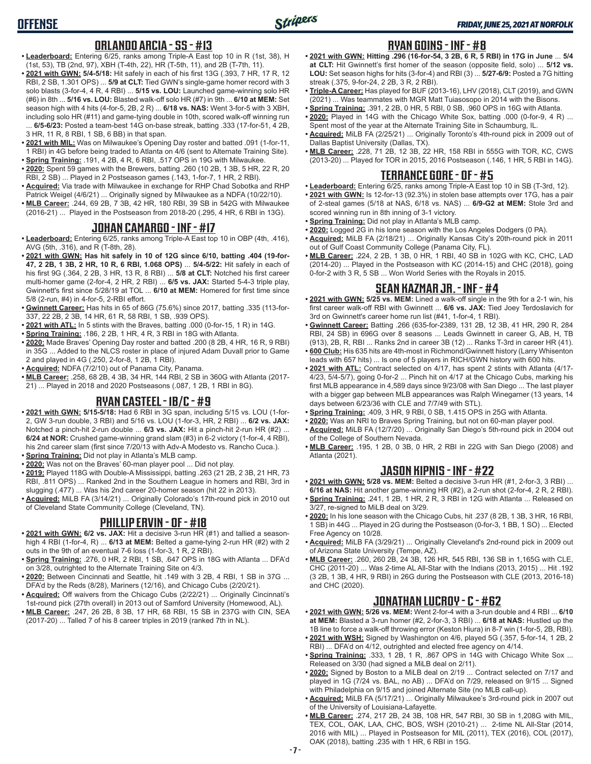## **ORLANDO ARCIA - SS - #13**

- **• Leaderboard:** Entering 6/25, ranks among Triple-A East top 10 in R (1st, 38), H (1st, 53), TB (2nd, 97), XBH (T-4th, 22), HR (T-5th, 11), and 2B (T-7th, 11).
- **• 2021 with GWN: 5/4-5/18:** Hit safely in each of his first 13G (.393, 7 HR, 17 R, 12 RBI, 2 SB, 1.301 OPS) ... **5/9 at CLT:** Tied GWN's single-game homer record with 3 solo blasts (3-for-4, 4 R, 4 RBI) ... **5/15 vs. LOU:** Launched game-winning solo HR (#6) in 8th ... **5/16 vs. LOU:** Blasted walk-off solo HR (#7) in 9th ... **6/10 at MEM:** Set season high with 4 hits (4-for-5, 2B, 2 R) ... **6/18 vs. NAS:** Went 3-for-5 with 3 XBH, including solo HR (#11) and game-tying double in 10th, scored walk-off winning run
- ... **6/5-6/23:** Posted a team-best 14G on-base streak, batting .333 (17-for-51, 4 2B, 3 HR, 11 R, 8 RBI, 1 SB, 6 BB) in that span.
- **• 2021 with MIL:** Was on Milwaukee's Opening Day roster and batted .091 (1-for-11, 1 RBI) in 4G before being traded to Atlanta on 4/6 (sent to Alternate Training Site). **• Spring Training:** .191, 4 2B, 4 R, 6 RBI, .517 OPS in 19G with Milwaukee.
- **• 2020:** Spent 59 games with the Brewers, batting .260 (10 2B, 1 3B, 5 HR, 22 R, 20 RBI, 2 SB) ... Played in 2 Postseason games (.143, 1-for-7, 1 HR, 2 RBI).
- **• Acquired:** Via trade with Milwaukee in exchange for RHP Chad Sobotka and RHP Patrick Weigel (4/6/21) ... Originally signed by Milwaukee as a NDFA (10/22/10).
- **• MLB Career:** .244, 69 2B, 7 3B, 42 HR, 180 RBI, 39 SB in 542G with Milwaukee (2016-21) ... Played in the Postseason from 2018-20 (.295, 4 HR, 6 RBI in 13G).

## **JOHAN CAMARGO - INF - #17**

- **• Leaderboard:** Entering 6/25, ranks among Triple-A East top 10 in OBP (4th, .416), AVG (5th, .316), and R (T-8th, 28).
- **• 2021 with GWN: Has hit safely in 10 of 12G since 6/10, batting .404 (19-for-47, 2 2B, 1 3B, 2 HR, 10 R, 6 RBI, 1.068 OPS)** ... **5/4-5/22:** Hit safely in each of his first 9G (.364, 2 2B, 3 HR, 13 R, 8 RBI) ... **5/8 at CLT:** Notched his first career multi-homer game (2-for-4, 2 HR, 2 RBI) ... **6/5 vs. JAX:** Started 5-4-3 triple play, Gwinnett's first since 5/28/19 at TOL ... **6/10 at MEM:** Homered for first time since 5/8 (2-run, #4) in 4-for-5, 2-RBI effort.
- **• Gwinnett Career:** Has hits in 65 of 86G (75.6%) since 2017, batting .335 (113-for-337, 22 2B, 2 3B, 14 HR, 61 R, 58 RBI, 1 SB, .939 OPS).
- **• 2021 with ATL:** In 5 stints with the Braves, batting .000 (0-for-15, 1 R) in 14G.
- **• Spring Training:** .186, 2 2B, 1 HR, 4 R, 3 RBI in 18G with Atlanta.
- **• 2020:** Made Braves' Opening Day roster and batted .200 (8 2B, 4 HR, 16 R, 9 RBI) in 35G ... Added to the NLCS roster in place of injured Adam Duvall prior to Game 2 and played in 4G (.250, 2-for-8, 1 2B, 1 RBI).
- **• Acquired:** NDFA (7/2/10) out of Panama City, Panama.
- **• MLB Career:** .258, 68 2B, 4 3B, 34 HR, 144 RBI, 2 SB in 360G with Atlanta (2017- 21) ... Played in 2018 and 2020 Postseasons (.087, 1 2B, 1 RBI in 8G).

## **RYAN CASTEEL - 1B/C - #9**

- **• 2021 with GWN: 5/15-5/18:** Had 6 RBI in 3G span, including 5/15 vs. LOU (1-for-2, GW 3-run double, 3 RBI) and 5/16 vs. LOU (1-for-3, HR, 2 RBI) ... **6/2 vs. JAX:** Notched a pinch-hit 2-run double ... **6/3 vs. JAX:** Hit a pinch-hit 2-run HR (#2) ... **6/24 at NOR:** Crushed game-winning grand slam (#3) in 6-2 victory (1-for-4, 4 RBI), his 2nd career slam (first since 7/20/13 with Adv-A Modesto vs. Rancho Cuca.).
- **• Spring Training:** Did not play in Atlanta's MLB camp.
- **• 2020:** Was not on the Braves' 60-man player pool ... Did not play. **• 2019:** Played 118G with Double-A Mississippi, batting .263 (21 2B, 2 3B, 21 HR, 73 RBI, .811 OPS) ... Ranked 2nd in the Southern League in homers and RBI, 3rd in
- slugging (.477) ... Was his 2nd career 20-homer season (hit 22 in 2013). **• Acquired:** MiLB FA (3/14/21) ... Originally Colorado's 17th-round pick in 2010 out
- of Cleveland State Community College (Cleveland, TN).

#### **PHILLIP ERVIN - OF - #18**

- **• 2021 with GWN: 6/2 vs. JAX:** Hit a decisive 3-run HR (#1) and tallied a seasonhigh 4 RBI (1-for-4, R) ... **6/13 at MEM:** Belted a game-tying 2-run HR (#2) with 2 outs in the 9th of an eventual 7-6 loss (1-for-3, 1 R, 2 RBI).
- **• Spring Training:** .276, 0 HR, 2 RBI, 1 SB, .647 OPS in 18G with Atlanta ... DFA'd on 3/28, outrighted to the Alternate Training Site on 4/3.
- **• 2020:** Between Cincinnati and Seattle, hit .149 with 3 2B, 4 RBI, 1 SB in 37G ... DFA'd by the Reds (8/28), Mariners (12/16), and Chicago Cubs (2/20/21).
- **• Acquired:** Off waivers from the Chicago Cubs (2/22/21) ... Originally Cincinnati's 1st-round pick (27th overall) in 2013 out of Samford University (Homewood, AL).
- **• MLB Career:** .247, 26 2B, 8 3B, 17 HR, 68 RBI, 15 SB in 237G with CIN, SEA (2017-20) ... Talled 7 of his 8 career triples in 2019 (ranked 7th in NL).

#### **RYAN GOINS - INF - #8**

- **• 2021 with GWN: Hitting .296 (16-for-54, 3 2B, 6 R, 5 RBI) in 17G in June** ... **5/4 at CLT:** Hit Gwinnett's first homer of the season (opposite field, solo) ... **5/12 vs. LOU:** Set season highs for hits (3-for-4) and RBI (3) ... **5/27-6/9:** Posted a 7G hitting streak (.375, 9-for-24, 2 2B, 3 R, 2 RBI).
- **• Triple-A Career:** Has played for BUF (2013-16), LHV (2018), CLT (2019), and GWN (2021) ... Was teammates with MGR Matt Tuiasosopo in 2014 with the Bisons.
- **• Spring Training:** .391, 2 2B, 0 HR, 5 RBI, 0 SB, .960 OPS in 16G with Atlanta. **• 2020:** Played in 14G with the Chicago White Sox, batting .000 (0-for-9, 4 R) ...
- Spent most of the year at the Alternate Training Site in Schaumburg, IL. **• Acquired:** MiLB FA (2/25/21) ... Originally Toronto's 4th-round pick in 2009 out of Dallas Baptist University (Dallas, TX).
- **• MLB Career:** .228, 71 2B, 12 3B, 22 HR, 158 RBI in 555G with TOR, KC, CWS (2013-20) ... Played for TOR in 2015, 2016 Postseason (.146, 1 HR, 5 RBI in 14G).

#### **TERRANCE GORE - OF - #5**

- **• Leaderboard:** Entering 6/25, ranks among Triple-A East top 10 in SB (T-3rd, 12). **• 2021 with GWN:** Is 12-for-13 (92.3%) in stolen base attempts over 17G, has a pair of 2-steal games (5/18 at NAS, 6/18 vs. NAS) ... **6/9-G2 at MEM:** Stole 3rd and scored winning run in 8th inning of 3-1 victory.
- **• Spring Training:** Did not play in Atlanta's MLB camp.
- **• 2020:** Logged 2G in his lone season with the Los Angeles Dodgers (0 PA).
- **• Acquired:** MiLB FA (2/18/21) ... Originally Kansas City's 20th-round pick in 2011 out of Gulf Coast Community College (Panama City, FL).
- **• MLB Career:** .224, 2 2B, 1 3B, 0 HR, 1 RBI, 40 SB in 102G with KC, CHC, LAD (2014-20) ... Played in the Postseason with KC (2014-15) and CHC (2018), going 0-for-2 with 3 R, 5 SB ... Won World Series with the Royals in 2015.

## **SEAN KAZMAR JR. - INF - #4**

- **• 2021 with GWN: 5/25 vs. MEM:** Lined a walk-off single in the 9th for a 2-1 win, his first career walk-off RBI with Gwinnett ... **6/6 vs. JAX:** Tied Joey Terdoslavich for 3rd on Gwinnett's career home run list (#41, 1-for-4, 1 RBI).
- **• Gwinnett Career:** Batting .266 (635-for-2389, 131 2B, 12 3B, 41 HR, 290 R, 284 RBI, 24 SB) in 696G over 8 seasons ... Leads Gwinnett in career G, AB, H, TB (913), 2B, R, RBI ... Ranks 2nd in career 3B (12) ... Ranks T-3rd in career HR (41).
- **• 600 Club:** His 635 hits are 4th-most in Richmond/Gwinnett history (Larry Whisenton leads with 657 hits) ... Is one of 5 players in RICH/GWN history with 600 hits.
- **• 2021 with ATL:** Contract selected on 4/17, has spent 2 stints with Atlanta (4/17- 4/23, 5/4-5/7), going 0-for-2 ... Pinch hit on 4/17 at the Chicago Cubs, marking his first MLB appearance in 4,589 days since 9/23/08 with San Diego ... The last player with a bigger gap between MLB appearances was Ralph Winegarner (13 years, 14 days between 6/23/36 with CLE and 7/7/49 with STL).
- **• Spring Training:** .409, 3 HR, 9 RBI, 0 SB, 1.415 OPS in 25G with Atlanta.
- **• 2020:** Was an NRI to Braves Spring Training, but not on 60-man player pool.
- **• Acquired:** MiLB FA (12/7/20) ... Originally San Diego's 5th-round pick in 2004 out of the College of Southern Nevada.
- **• MLB Career:** .195, 1 2B, 0 3B, 0 HR, 2 RBI in 22G with San Diego (2008) and Atlanta (2021).

# **JASON KIPNIS - INF - #22**

- **• 2021 with GWN: 5/28 vs. MEM:** Belted a decisive 3-run HR (#1, 2-for-3, 3 RBI) ... **6/16 at NAS:** Hit another game-winning HR (#2), a 2-run shot (2-for-4, 2 R, 2 RBI).
- **• Spring Training:** .241, 1 2B, 1 HR, 2 R, 3 RBI in 12G with Atlanta ... Released on 3/27, re-signed to MiLB deal on 3/29.
- **• 2020:** In his lone season with the Chicago Cubs, hit .237 (8 2B, 1 3B, 3 HR, 16 RBI, 1 SB) in 44G ... Played in 2G during the Postseason (0-for-3, 1 BB, 1 SO) ... Elected Free Agency on 10/28.
- **• Acquired:** MiLB FA (3/29/21) ... Originally Cleveland's 2nd-round pick in 2009 out of Arizona State University (Tempe, AZ).
- **• MLB Career:** .260, 260 2B, 24 3B, 126 HR, 545 RBI, 136 SB in 1,165G with CLE, CHC (2011-20) ... Was 2-time AL All-Star with the Indians (2013, 2015) ... Hit .192 (3 2B, 1 3B, 4 HR, 9 RBI) in 26G during the Postseason with CLE (2013, 2016-18) and CHC (2020).

## **JONATHAN LUCROY - C - #62**

- **• 2021 with GWN: 5/26 vs. MEM:** Went 2-for-4 with a 3-run double and 4 RBI ... **6/10 at MEM:** Blasted a 3-run homer (#2, 2-for-3, 3 RBI) ... **6/18 at NAS:** Hustled up the 1B line to force a walk-off throwing error (Keston Hiura) in 8-7 win (1-for-5, 2B, RBI). **• 2021 with WSH:** Signed by Washington on 4/6, played 5G (.357, 5-for-14, 1 2B, 2
- RBI) ... DFA'd on 4/12, outrighted and elected free agency on 4/14.
- **• Spring Training:** .333, 1 2B, 1 R, .867 OPS in 14G with Chicago White Sox ... Released on 3/30 (had signed a MiLB deal on 2/11).
- **• 2020:** Signed by Boston to a MiLB deal on 2/19 ... Contract selected on 7/17 and played in 1G (7/24 vs. BAL, no AB) ... DFA'd on 7/29, released on 9/15 ... Signed with Philadelphia on 9/15 and joined Alternate Site (no MLB call-up).
- **• Acquired:** MiLB FA (5/17/21) ... Originally Milwaukee's 3rd-round pick in 2007 out of the University of Louisiana-Lafayette.
- **• MLB Career:** .274, 217 2B, 24 3B, 108 HR, 547 RBI, 30 SB in 1,208G with MIL, TEX, COL, OAK, LAA, CHC, BOS, WSH (2010-21) ... 2-time NL All-Star (2014, 2016 with MIL) ... Played in Postseason for MIL (2011), TEX (2016), COL (2017), OAK (2018), batting .235 with 1 HR, 6 RBI in 15G.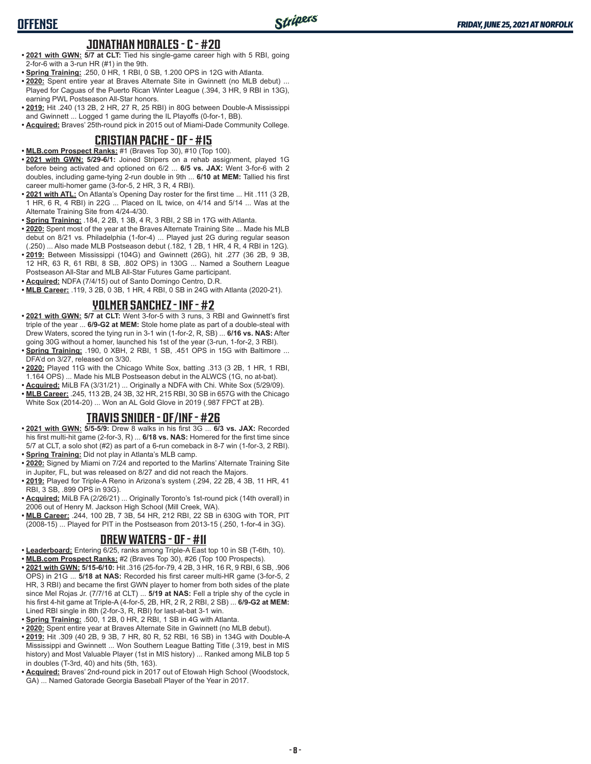## **JONATHAN MORALES - C - #20**

**OFFENSE**

- **• 2021 with GWN: 5/7 at CLT:** Tied his single-game career high with 5 RBI, going 2-for-6 with a 3-run HR (#1) in the 9th.
- **• Spring Training:** .250, 0 HR, 1 RBI, 0 SB, 1.200 OPS in 12G with Atlanta.
- **• 2020:** Spent entire year at Braves Alternate Site in Gwinnett (no MLB debut) ... Played for Caguas of the Puerto Rican Winter League (.394, 3 HR, 9 RBI in 13G), earning PWL Postseason All-Star honors.
- **• 2019:** Hit .240 (13 2B, 2 HR, 27 R, 25 RBI) in 80G between Double-A Mississippi and Gwinnett ... Logged 1 game during the IL Playoffs (0-for-1, BB).
- **• Acquired:** Braves' 25th-round pick in 2015 out of Miami-Dade Community College.

## **CRISTIAN PACHE - OF - #15**

- **• MLB.com Prospect Ranks:** #1 (Braves Top 30), #10 (Top 100).
- **• 2021 with GWN: 5/29-6/1:** Joined Stripers on a rehab assignment, played 1G before being activated and optioned on 6/2 ... **6/5 vs. JAX:** Went 3-for-6 with 2 doubles, including game-tying 2-run double in 9th ... **6/10 at MEM:** Tallied his first career multi-homer game (3-for-5, 2 HR, 3 R, 4 RBI).
- **• 2021 with ATL:** On Atlanta's Opening Day roster for the first time ... Hit .111 (3 2B, 1 HR, 6 R, 4 RBI) in 22G ... Placed on IL twice, on 4/14 and 5/14 ... Was at the Alternate Training Site from 4/24-4/30.
- **• Spring Training:** .184, 2 2B, 1 3B, 4 R, 3 RBI, 2 SB in 17G with Atlanta.
- **• 2020:** Spent most of the year at the Braves Alternate Training Site ... Made his MLB debut on 8/21 vs. Philadelphia (1-for-4) ... Played just 2G during regular season (.250) ... Also made MLB Postseason debut (.182, 1 2B, 1 HR, 4 R, 4 RBI in 12G).
- **• 2019:** Between Mississippi (104G) and Gwinnett (26G), hit .277 (36 2B, 9 3B, 12 HR, 63 R, 61 RBI, 8 SB, .802 OPS) in 130G ... Named a Southern League Postseason All-Star and MLB All-Star Futures Game participant.
- **• Acquired:** NDFA (7/4/15) out of Santo Domingo Centro, D.R.
- **• MLB Career:** .119, 3 2B, 0 3B, 1 HR, 4 RBI, 0 SB in 24G with Atlanta (2020-21).

## **YOLMER SANCHEZ - INF - #2**

- **• 2021 with GWN: 5/7 at CLT:** Went 3-for-5 with 3 runs, 3 RBI and Gwinnett's first triple of the year ... **6/9-G2 at MEM:** Stole home plate as part of a double-steal with Drew Waters, scored the tying run in 3-1 win (1-for-2, R, SB) ... **6/16 vs. NAS:** After going 30G without a homer, launched his 1st of the year (3-run, 1-for-2, 3 RBI).
- **• Spring Training:** .190, 0 XBH, 2 RBI, 1 SB, .451 OPS in 15G with Baltimore ... DFA'd on 3/27, released on 3/30.
- **• 2020:** Played 11G with the Chicago White Sox, batting .313 (3 2B, 1 HR, 1 RBI, 1.164 OPS) ... Made his MLB Postseason debut in the ALWCS (1G, no at-bat).
- **• Acquired:** MiLB FA (3/31/21) ... Originally a NDFA with Chi. White Sox (5/29/09).
- **• MLB Career:** .245, 113 2B, 24 3B, 32 HR, 215 RBI, 30 SB in 657G with the Chicago White Sox (2014-20) ... Won an AL Gold Glove in 2019 (.987 FPCT at 2B).

# **TRAVIS SNIDER - OF/INF - #26**

- **• 2021 with GWN: 5/5-5/9:** Drew 8 walks in his first 3G ... **6/3 vs. JAX:** Recorded his first multi-hit game (2-for-3, R) ... **6/18 vs. NAS:** Homered for the first time since 5/7 at CLT, a solo shot (#2) as part of a 6-run comeback in 8-7 win (1-for-3, 2 RBI). **• Spring Training:** Did not play in Atlanta's MLB camp.
- **• 2020:** Signed by Miami on 7/24 and reported to the Marlins' Alternate Training Site in Jupiter, FL, but was released on 8/27 and did not reach the Majors.
- **• 2019:** Played for Triple-A Reno in Arizona's system (.294, 22 2B, 4 3B, 11 HR, 41 RBI, 3 SB, .899 OPS in 93G).
- **• Acquired:** MiLB FA (2/26/21) ... Originally Toronto's 1st-round pick (14th overall) in 2006 out of Henry M. Jackson High School (Mill Creek, WA).
- **• MLB Career:** .244, 100 2B, 7 3B, 54 HR, 212 RBI, 22 SB in 630G with TOR, PIT (2008-15) ... Played for PIT in the Postseason from 2013-15 (.250, 1-for-4 in 3G).

#### **DREW WATERS - OF - #11**

- **• Leaderboard:** Entering 6/25, ranks among Triple-A East top 10 in SB (T-6th, 10).
- **• MLB.com Prospect Ranks:** #2 (Braves Top 30), #26 (Top 100 Prospects).
- **• 2021 with GWN: 5/15-6/10:** Hit .316 (25-for-79, 4 2B, 3 HR, 16 R, 9 RBI, 6 SB, .906 OPS) in 21G ... **5/18 at NAS:** Recorded his first career multi-HR game (3-for-5, 2 HR, 3 RBI) and became the first GWN player to homer from both sides of the plate since Mel Rojas Jr. (7/7/16 at CLT) ... **5/19 at NAS:** Fell a triple shy of the cycle in his first 4-hit game at Triple-A (4-for-5, 2B, HR, 2 R, 2 RBI, 2 SB) ... **6/9-G2 at MEM:** Lined RBI single in 8th (2-for-3, R, RBI) for last-at-bat 3-1 win.
- **• Spring Training:** .500, 1 2B, 0 HR, 2 RBI, 1 SB in 4G with Atlanta.
- **• 2020:** Spent entire year at Braves Alternate Site in Gwinnett (no MLB debut).
- **• 2019:** Hit .309 (40 2B, 9 3B, 7 HR, 80 R, 52 RBI, 16 SB) in 134G with Double-A Mississippi and Gwinnett ... Won Southern League Batting Title (.319, best in MIS history) and Most Valuable Player (1st in MIS history) ... Ranked among MiLB top 5 in doubles (T-3rd, 40) and hits (5th, 163).
- **• Acquired:** Braves' 2nd-round pick in 2017 out of Etowah High School (Woodstock, GA) ... Named Gatorade Georgia Baseball Player of the Year in 2017.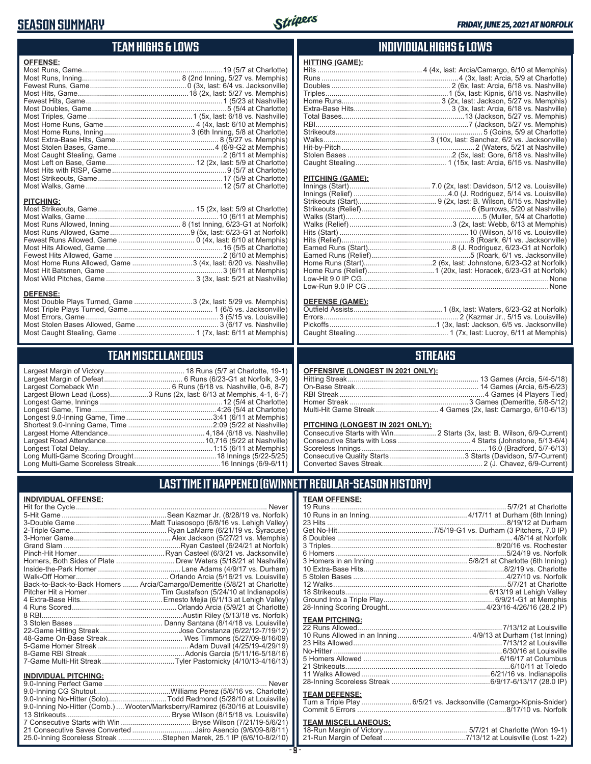# **SEASON SUMMARY**

**DEFENSE:**

**INDIVIDUAL OFFENSE:**



**HITTING (GAME):**

## **TEAM HIGHS & LOWS**

| <b>OFFENSE:</b>                                               |  |
|---------------------------------------------------------------|--|
|                                                               |  |
|                                                               |  |
|                                                               |  |
|                                                               |  |
|                                                               |  |
|                                                               |  |
|                                                               |  |
|                                                               |  |
|                                                               |  |
|                                                               |  |
|                                                               |  |
|                                                               |  |
|                                                               |  |
|                                                               |  |
|                                                               |  |
|                                                               |  |
|                                                               |  |
| <b>PITCHING:</b>                                              |  |
|                                                               |  |
|                                                               |  |
|                                                               |  |
|                                                               |  |
|                                                               |  |
|                                                               |  |
|                                                               |  |
| Most Home Runs Allowed, Game 3 (4x, last: 6/20 vs. Nashville) |  |
|                                                               |  |
|                                                               |  |

Most Double Plays Turned, Game .............................3 (2x, last: 5/29 vs. Memphis) Most Triple Plays Turned, Game .......................................... 1 (6/5 vs. Jacksonville) Most Errors, Game ..................................................................3 (5/15 vs. Louisville) Most Stolen Bases Allowed, Game ......................................... 3 (6/17 vs. Nashville) Most Caught Stealing, Game ...................................... 1 (7x, last: 6/11 at Memphis)

**TEAM MISCELLANEOUS** Largest Margin of Victory........................................ 18 Runs (5/7 at Charlotte, 19-1) Largest Margin of Defeat ....................................... 6 Runs (6/23-G1 at Norfolk, 3-9) Largest Comeback Win ................................... 6 Runs (6/18 vs. Nashville, 0-6, 8-7) Largest Blown Lead (Loss)...................3 Runs (2x, last: 6/13 at Memphis, 4-1, 6-7)

Longest Total Delay..............................................................1:15 (6/11 at Memphis) Long Multi-Game Scoring Drought .........................................18 Innings (5/22-5/25) Long Multi-Game Scoreless Streak ..........................................16 Innings (6/9-6/11)

#### **INDIVIDUAL HIGHS & LOWS**

| <b>PITCHING (GAME):</b> |  |
|-------------------------|--|
|                         |  |
|                         |  |
|                         |  |
|                         |  |
|                         |  |
|                         |  |
|                         |  |
|                         |  |
|                         |  |
|                         |  |
|                         |  |
|                         |  |
|                         |  |
|                         |  |
|                         |  |
| BEFEILE (AILE)          |  |

#### **DEFENSE (GAME):**

#### **STREAKS**

|  |  | OFFENSIVE (LONGEST IN 2021 ONLY): |
|--|--|-----------------------------------|
|--|--|-----------------------------------|

## **LAST TIME IT HAPPENED (GWINNETT REGULAR-SEASON HISTORY)**

|                             | Never                                                                      |
|-----------------------------|----------------------------------------------------------------------------|
|                             |                                                                            |
|                             |                                                                            |
|                             |                                                                            |
|                             |                                                                            |
|                             |                                                                            |
|                             |                                                                            |
|                             |                                                                            |
|                             |                                                                            |
|                             |                                                                            |
|                             | Back-to-Back-to-Back Homers  Arcia/Camargo/Demeritte (5/8/21 at Charlotte) |
|                             |                                                                            |
|                             |                                                                            |
|                             |                                                                            |
|                             |                                                                            |
|                             |                                                                            |
|                             |                                                                            |
|                             |                                                                            |
|                             |                                                                            |
|                             |                                                                            |
|                             |                                                                            |
|                             |                                                                            |
| <b>INDIVIDUAL PITCHING:</b> |                                                                            |
|                             |                                                                            |

| 9.0-Inning No-Hitter (Solo)Todd Redmond (5/28/10 at Louisville)                |  |
|--------------------------------------------------------------------------------|--|
| 9.0-Inning No-Hitter (Comb.) Wooten/Marksberry/Ramirez (6/30/16 at Louisville) |  |
|                                                                                |  |
|                                                                                |  |
| 21 Consecutive Saves Converted Jairo Asencio (9/6/09-8/8/11)                   |  |
| 25.0-Inning Scoreless Streak Stephen Marek, 25.1 IP (6/6/10-8/2/10)            |  |
|                                                                                |  |

#### **- 9 -**

| <b>TEAM OFFENSE:</b>  |                                                                          |
|-----------------------|--------------------------------------------------------------------------|
|                       |                                                                          |
|                       |                                                                          |
|                       |                                                                          |
|                       |                                                                          |
|                       |                                                                          |
|                       |                                                                          |
|                       |                                                                          |
|                       |                                                                          |
|                       |                                                                          |
|                       |                                                                          |
|                       |                                                                          |
|                       |                                                                          |
|                       |                                                                          |
|                       |                                                                          |
| <b>TEAM PITCHING:</b> |                                                                          |
|                       |                                                                          |
|                       |                                                                          |
|                       |                                                                          |
|                       |                                                                          |
|                       |                                                                          |
|                       | $\bigwedge (A \cap (A \cup A) \cup A) \cap \mathcal{F} \cup \mathcal{F}$ |

| 5 Homers Allowed …………………………………………………………………………6/16/17 at Columbus |  |
|------------------------------------------------------------------|--|
|                                                                  |  |
|                                                                  |  |
|                                                                  |  |
|                                                                  |  |

#### **TEAM DEFENSE:**

|  | Turn a Triple Play 6/5/21 vs. Jacksonville (Camargo-Kipnis-Snider) |  |
|--|--------------------------------------------------------------------|--|
|  |                                                                    |  |

# **TEAM MISCELLANEOUS:**<br>18-Run Margin of Victory....

| Longest Game, Time………………………………………………………4:26 (5/4 at Charlotte) ┃┃ Multi-Hit Game Streak ………………………… |  |
|----------------------------------------------------------------------------------------------------|--|
|                                                                                                    |  |
|                                                                                                    |  |
|                                                                                                    |  |
|                                                                                                    |  |

Longest 9.0-Inning Game, Time ...........................................3:41 (6/11 at Memphis) Shortest 9.0-Inning Game, Time ..........................................2:09 (5/22 at Nashville) Largest Home Attendance ................................................ 4,184 (6/18 vs. Nashville) Largest Road Attendance .................................................10,716 (5/22 at Nashville)